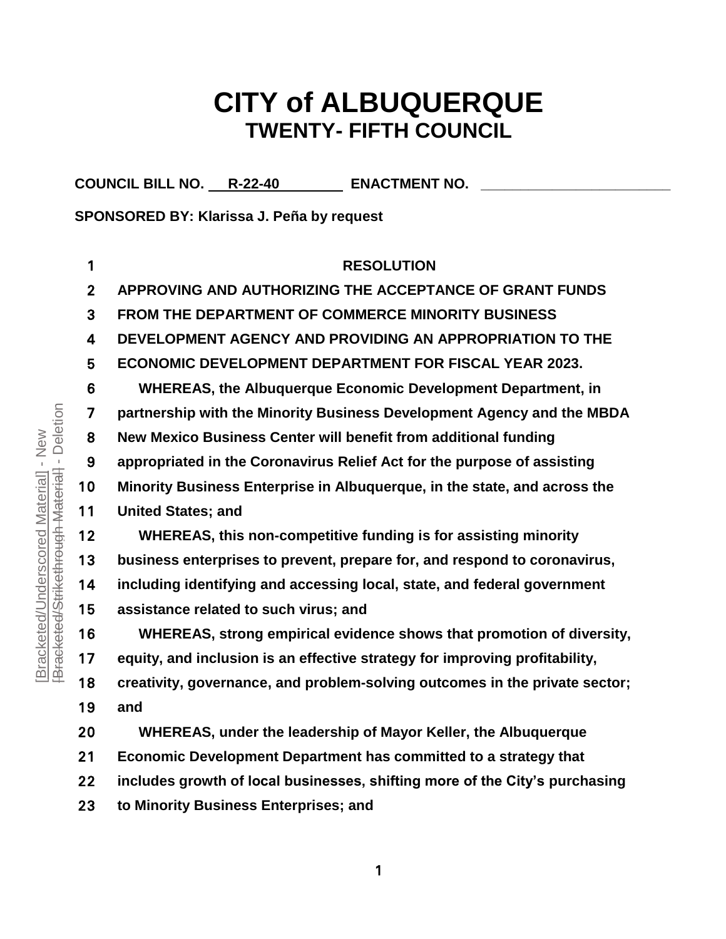# **CITY of ALBUQUERQUE TWENTY- FIFTH COUNCIL**

COUNCIL BILL NO. R-22-40 **ENACTMENT NO.** 

**SPONSORED BY: Klarissa J. Peña by request**

| 1            | <b>RESOLUTION</b>                                                           |
|--------------|-----------------------------------------------------------------------------|
| $\mathbf{2}$ | APPROVING AND AUTHORIZING THE ACCEPTANCE OF GRANT FUNDS                     |
| 3            | <b>FROM THE DEPARTMENT OF COMMERCE MINORITY BUSINESS</b>                    |
| 4            | DEVELOPMENT AGENCY AND PROVIDING AN APPROPRIATION TO THE                    |
| 5            | <b>ECONOMIC DEVELOPMENT DEPARTMENT FOR FISCAL YEAR 2023.</b>                |
| 6            | <b>WHEREAS, the Albuquerque Economic Development Department, in</b>         |
| 7            | partnership with the Minority Business Development Agency and the MBDA      |
| 8            | New Mexico Business Center will benefit from additional funding             |
| 9            | appropriated in the Coronavirus Relief Act for the purpose of assisting     |
| 10           | Minority Business Enterprise in Albuquerque, in the state, and across the   |
| 11           | <b>United States; and</b>                                                   |
| 12           | WHEREAS, this non-competitive funding is for assisting minority             |
| 13           | business enterprises to prevent, prepare for, and respond to coronavirus,   |
| 14           | including identifying and accessing local, state, and federal government    |
| 15           | assistance related to such virus; and                                       |
| 16           | WHEREAS, strong empirical evidence shows that promotion of diversity,       |
| 17           | equity, and inclusion is an effective strategy for improving profitability, |
| 18           | creativity, governance, and problem-solving outcomes in the private sector; |
| 19           | and                                                                         |
| 20           | WHEREAS, under the leadership of Mayor Keller, the Albuquerque              |
| 21           | Economic Development Department has committed to a strategy that            |
| 22           | includes growth of local businesses, shifting more of the City's purchasing |
| 23           | to Minority Business Enterprises; and                                       |

Bracketed/Strikethrough Material - Deletion [Bracketed/Strikethrough Material] - Deletion[Bracketed/Underscored Material] - New [Bracketed/Underscored Material] - New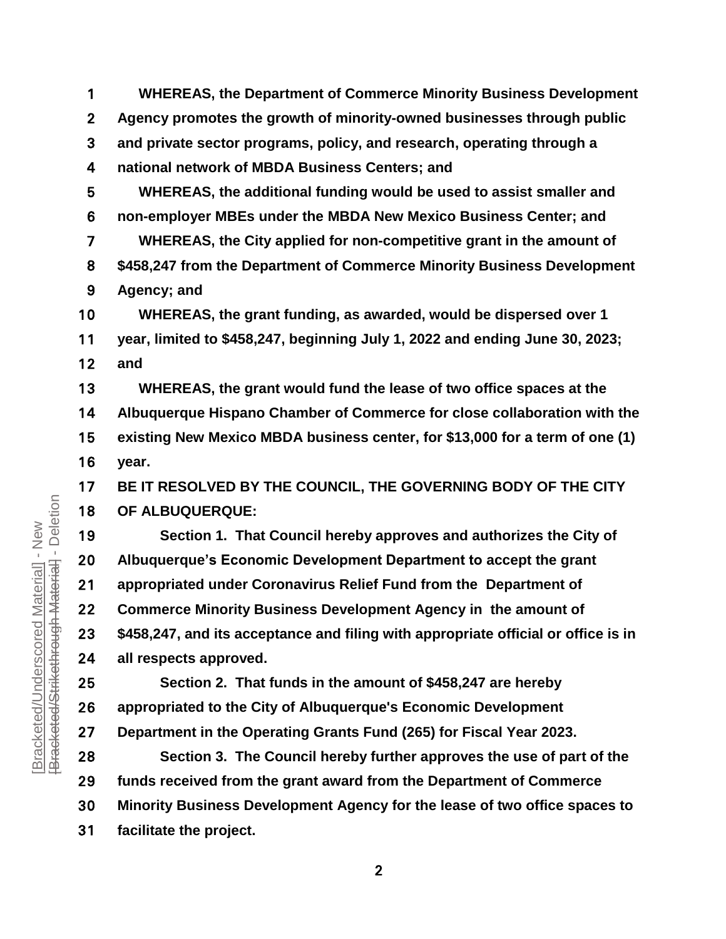**WHEREAS, the Department of Commerce Minority Business Development Agency promotes the growth of minority-owned businesses through public and private sector programs, policy, and research, operating through a national network of MBDA Business Centers; and**

**WHEREAS, the additional funding would be used to assist smaller and non-employer MBEs under the MBDA New Mexico Business Center; and WHEREAS, the City applied for non-competitive grant in the amount of \$458,247 from the Department of Commerce Minority Business Development Agency; and**

**WHEREAS, the grant funding, as awarded, would be dispersed over 1 year, limited to \$458,247, beginning July 1, 2022 and ending June 30, 2023; and**

**WHEREAS, the grant would fund the lease of two office spaces at the Albuquerque Hispano Chamber of Commerce for close collaboration with the existing New Mexico MBDA business center, for \$13,000 for a term of one (1) year.** 

**BE IT RESOLVED BY THE COUNCIL, THE GOVERNING BODY OF THE CITY OF ALBUQUERQUE:**

**Section 1. That Council hereby approves and authorizes the City of Albuquerque's Economic Development Department to accept the grant appropriated under Coronavirus Relief Fund from the Department of Commerce Minority Business Development Agency in the amount of \$458,247, and its acceptance and filing with appropriate official or office is in all respects approved.**

**Section 2. That funds in the amount of \$458,247 are hereby appropriated to the City of Albuquerque's Economic Development Department in the Operating Grants Fund (265) for Fiscal Year 2023.** 

**Section 3. The Council hereby further approves the use of part of the funds received from the grant award from the Department of Commerce Minority Business Development Agency for the lease of two office spaces to facilitate the project.**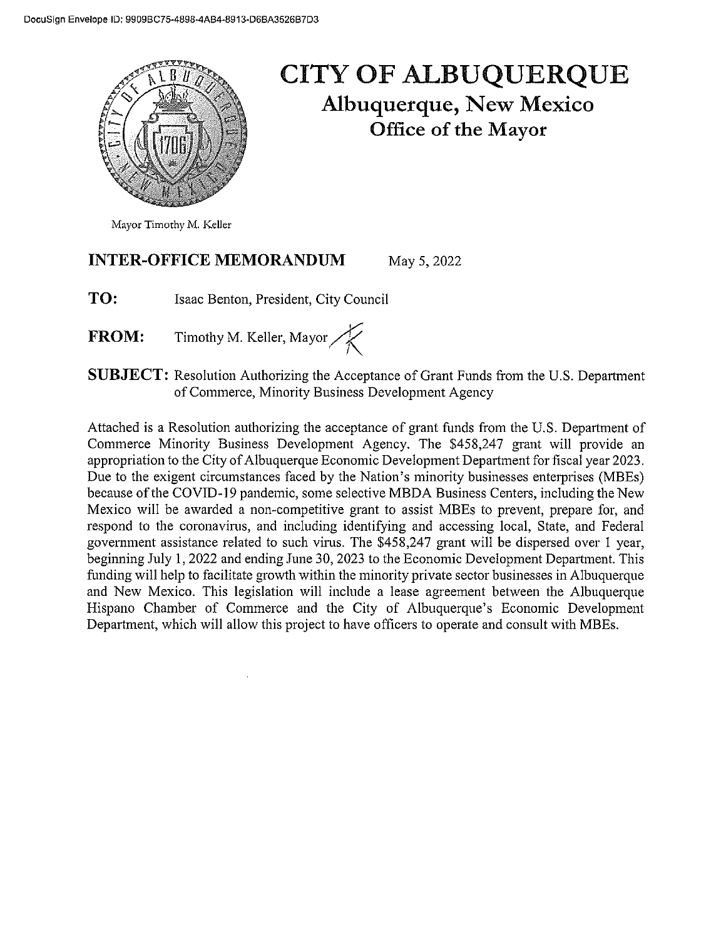

# **CITY OF ALBUQUERQUE Albuquerque, New Mexico** Office of the Mayor

#### **INTER-OFFICE MEMORANDUM** May 5, 2022

TO: Isaac Benton, President, City Council

Timothy M. Keller, Mayor **FROM:** 

**SUBJECT:** Resolution Authorizing the Acceptance of Grant Funds from the U.S. Department of Commerce, Minority Business Development Agency

Attached is a Resolution authorizing the acceptance of grant funds from the U.S. Department of Commerce Minority Business Development Agency. The \$458,247 grant will provide an appropriation to the City of Albuquerque Economic Development Department for fiscal year 2023. Due to the exigent circumstances faced by the Nation's minority businesses enterprises (MBEs) because of the COVID-19 pandemic, some selective MBDA Business Centers, including the New Mexico will be awarded a non-competitive grant to assist MBEs to prevent, prepare for, and respond to the coronavirus, and including identifying and accessing local, State, and Federal government assistance related to such virus. The \$458,247 grant will be dispersed over 1 year, beginning July 1, 2022 and ending June 30, 2023 to the Economic Development Department. This funding will help to facilitate growth within the minority private sector businesses in Albuquerque and New Mexico. This legislation will include a lease agreement between the Albuquerque Hispano Chamber of Commerce and the City of Albuquerque's Economic Development Department, which will allow this project to have officers to operate and consult with MBEs.

Mayor Timothy M. Keller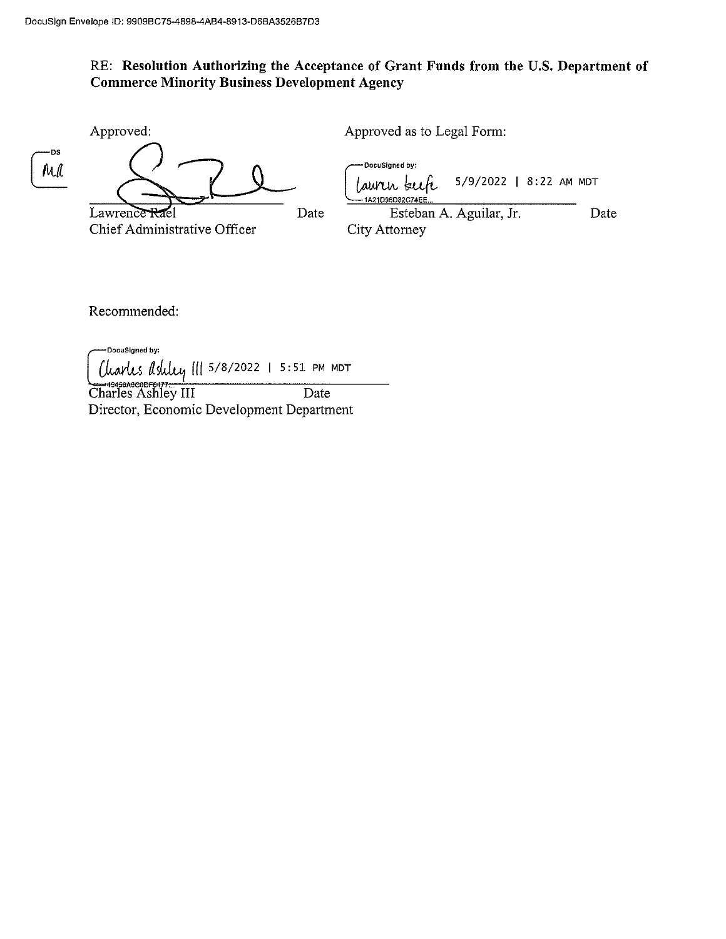## RE: Resolution Authorizing the Acceptance of Grant Funds from the U.S. Department of **Commerce Minority Business Development Agency**

|            | Approved:                                     |      | Approved as to Legal Form:                                                |      |
|------------|-----------------------------------------------|------|---------------------------------------------------------------------------|------|
| — DS<br>Md |                                               |      | -DocuSianed by:<br>5/9/2022   8:22 AM MDT<br>aurir kur<br>1A21D96D32C74EE |      |
|            | Lawrence Rael<br>Chief Administrative Officer | Date | Esteban A. Aguilar, Jr.<br>City Attorney                                  | Date |

Recommended:

-DocuSigned by: Charles Ashley III 5/8/2022 | 5:51 PM MDT

Charles Ashley III Date Director, Economic Development Department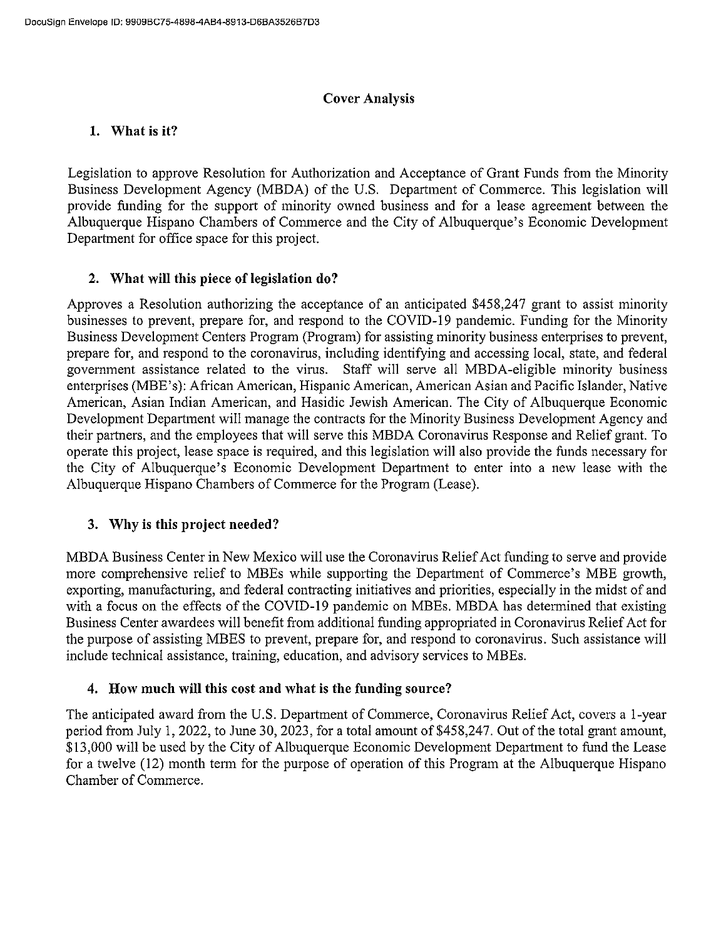### **Cover Analysis**

### 1. What is it?

Legislation to approve Resolution for Authorization and Acceptance of Grant Funds from the Minority Business Development Agency (MBDA) of the U.S. Department of Commerce. This legislation will provide funding for the support of minority owned business and for a lease agreement between the Albuquerque Hispano Chambers of Commerce and the City of Albuquerque's Economic Development Department for office space for this project.

### 2. What will this piece of legislation do?

Approves a Resolution authorizing the acceptance of an anticipated \$458,247 grant to assist minority businesses to prevent, prepare for, and respond to the COVID-19 pandemic. Funding for the Minority Business Development Centers Program (Program) for assisting minority business enterprises to prevent, prepare for, and respond to the coronavirus, including identifying and accessing local, state, and federal government assistance related to the virus. Staff will serve all MBDA-eligible minority business enterprises (MBE's): African American, Hispanic American, American Asian and Pacific Islander, Native American, Asian Indian American, and Hasidic Jewish American. The City of Albuquerque Economic Development Department will manage the contracts for the Minority Business Development Agency and their partners, and the employees that will serve this MBDA Coronavirus Response and Relief grant. To operate this project, lease space is required, and this legislation will also provide the funds necessary for the City of Albuquerque's Economic Development Department to enter into a new lease with the Albuquerque Hispano Chambers of Commerce for the Program (Lease).

### 3. Why is this project needed?

MBDA Business Center in New Mexico will use the Coronavirus Relief Act funding to serve and provide more comprehensive relief to MBEs while supporting the Department of Commerce's MBE growth, exporting, manufacturing, and federal contracting initiatives and priorities, especially in the midst of and with a focus on the effects of the COVID-19 pandemic on MBEs. MBDA has determined that existing Business Center awardees will benefit from additional funding appropriated in Coronavirus Relief Act for the purpose of assisting MBES to prevent, prepare for, and respond to coronavirus. Such assistance will include technical assistance, training, education, and advisory services to MBEs.

### 4. How much will this cost and what is the funding source?

The anticipated award from the U.S. Department of Commerce, Coronavirus Relief Act, covers a 1-year period from July 1, 2022, to June 30, 2023, for a total amount of \$458,247. Out of the total grant amount, \$13,000 will be used by the City of Albuquerque Economic Development Department to fund the Lease for a twelve (12) month term for the purpose of operation of this Program at the Albuquerque Hispano Chamber of Commerce.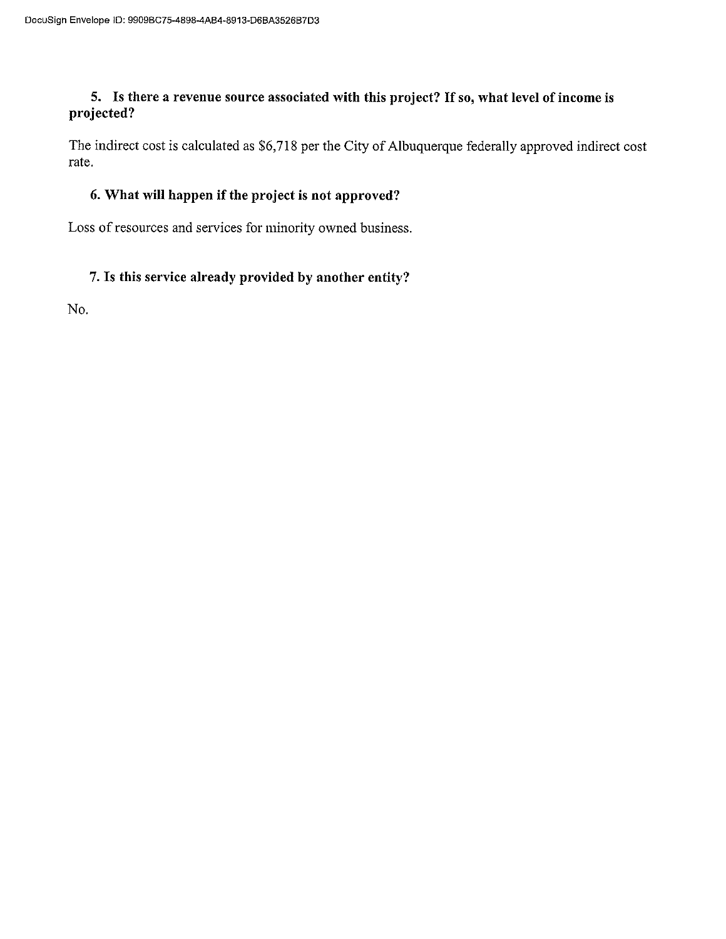### 5. Is there a revenue source associated with this project? If so, what level of income is projected?

The indirect cost is calculated as \$6,718 per the City of Albuquerque federally approved indirect cost rate.

### 6. What will happen if the project is not approved?

Loss of resources and services for minority owned business.

## 7. Is this service already provided by another entity?

No.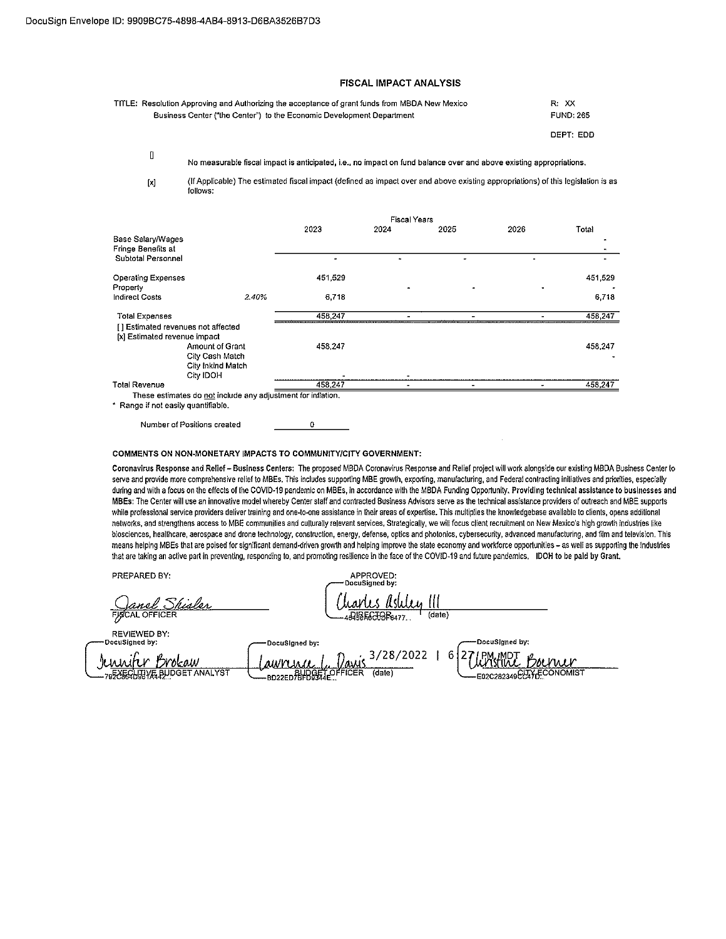### FISCAL IMPACT ANALYSIS

| TITLE: Resolution Approving and Authorizing the acceptance of grant funds from MBDA New Mexico | R: XX            |
|------------------------------------------------------------------------------------------------|------------------|
| Business Center ("the Center") to the Economic Development Department                          | <b>FUND: 265</b> |
|                                                                                                |                  |

DEPT: EDD

No measurable fiscal impact is anticipated, i.e., no impact on fund balance over and above existing appropriations.

 $[ \times ]$ 

 $\blacksquare$ 

(If Applicable) The estimated fiscal impact (defined as impact over and above existing appropriations) of this legislation is as follows:

|                                                               |                                                              | <b>Fiscal Years</b> |      |      |      |         |
|---------------------------------------------------------------|--------------------------------------------------------------|---------------------|------|------|------|---------|
|                                                               |                                                              | 2023                | 2024 | 2025 | 2026 | Total   |
| Base Salary/Wages<br>Fringe Benefits at<br>Subtotal Personnel |                                                              |                     |      |      |      |         |
|                                                               |                                                              |                     |      |      |      |         |
| <b>Operating Expenses</b><br>Property                         |                                                              | 451 529             |      |      |      | 451,529 |
| <b>Indirect Costs</b>                                         | 2.40%                                                        | 6.718               |      |      |      | 6,718   |
| Total Expenses                                                |                                                              | 458.247             |      |      |      | 458,247 |
| [] Estimated revenues not affected                            |                                                              |                     |      |      |      |         |
| [x] Estimated revenue impact                                  |                                                              |                     |      |      |      |         |
|                                                               | <b>Amount of Grant</b>                                       | 458.247             |      |      |      | 458,247 |
|                                                               | City Cash Match                                              |                     |      |      |      |         |
|                                                               | City Inkind Match                                            |                     |      |      |      |         |
| City IDOH                                                     |                                                              |                     |      |      |      |         |
| <b>Total Revenue</b>                                          |                                                              | 458.247             |      |      |      | 458,247 |
|                                                               | These estimates do not include any adjustment for inflation. |                     |      |      |      |         |
| * Ronna if not ageily augustifichte.                          |                                                              |                     |      |      |      |         |

not easily quan

 $\Omega$ Number of Positions created

#### COMMENTS ON NON-MONETARY IMPACTS TO COMMUNITY/CITY GOVERNMENT:

Coronavirus Response and Relief - Business Centers: The proposed MBDA Coronavirus Response and Relief project will work alongside our existing MBDA Business Center to serve and provide more comprehensive relief to MBEs. This includes supporting MBE growth, exporting, manufacturing, and Federal contracting initiatives and priorities, especially during and with a focus on the effects of the COVID-19 pandemic on MBEs, in accordance with the MBDA Funding Opportunity. Providing technical assistance to businesses and MBEs: The Center will use an innovative model whereby Center staff and contracted Business Advisors serve as the technical assistance providers of outreach and MBE supports while professional service providers deliver training and one-to-one assistance in their areas of expertise. This multiplies the knowledgebase available to clients, opens additional networks, and strengthens access to MBE communities and culturally relevant services. Strategically, we will focus client recruitment on New Mexico's high growth industries like biosciences, healthcare, aerospace and drone technology, construction, energy, defense, optics and photonics, cybersecurity, advanced manufacturing, and film and television. This means helping MBEs that are poised for significant demand-driven growth and helping improve the state economy and workforce opportunities - as well as supporting the industries that are taking an active part in preventing, responding to, and promoting resilience in the face of the COVID-19 and future pandemics. IDOH to be paid by Grant.

PREPARED BY:

**FISCAL OFFICEI** 

APPROVED:<br>:DocuSigned by arles Ashley III  $(date)$ DIRECTOR6477

**REVIEWED BY:** DocuSigned by: DocuSigned by DocuSigned by:  $3/28/2022$  | 6 27 Junnifer Brokaw awnuwa BD22ED BUDGET OFFICER 795X5GHJJVE BUDGET ANALYST (date) E02C282349CLTYFCONOMIST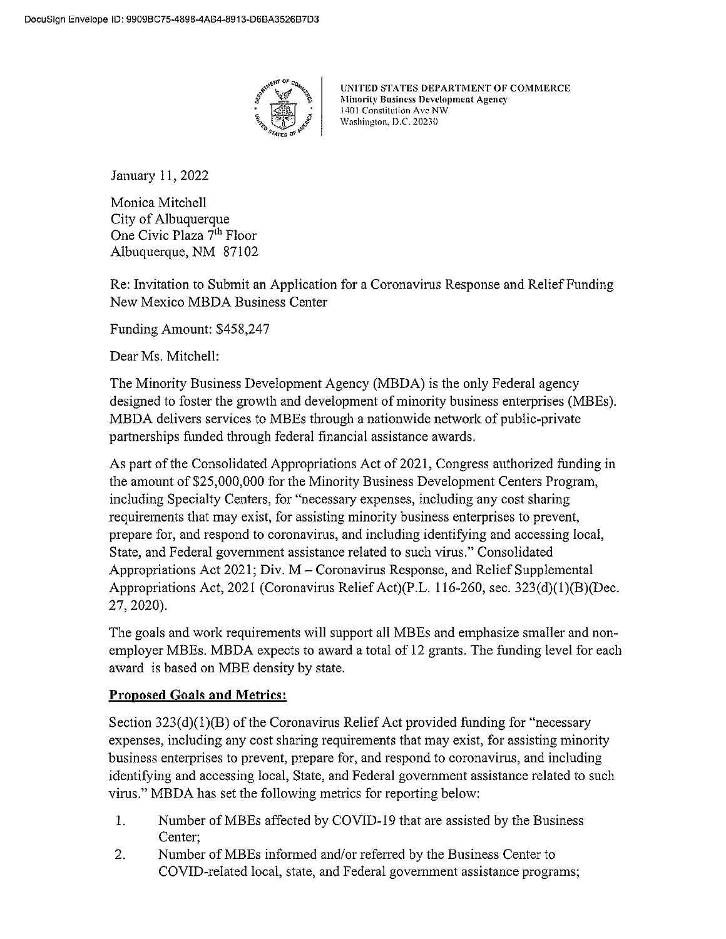

UNITED STATES DEPARTMENT OF COMMERCE **Minority Business Development Agency** 1401 Constitution Ave NW Washington, D.C. 20230

January 11, 2022

Monica Mitchell City of Albuquerque One Civic Plaza 7<sup>th</sup> Floor Albuquerque, NM 87102

Re: Invitation to Submit an Application for a Coronavirus Response and Relief Funding New Mexico MBDA Business Center

Funding Amount: \$458,247

Dear Ms. Mitchell:

The Minority Business Development Agency (MBDA) is the only Federal agency designed to foster the growth and development of minority business enterprises (MBEs). MBDA delivers services to MBEs through a nationwide network of public-private partnerships funded through federal financial assistance awards.

As part of the Consolidated Appropriations Act of 2021, Congress authorized funding in the amount of \$25,000,000 for the Minority Business Development Centers Program, including Specialty Centers, for "necessary expenses, including any cost sharing requirements that may exist, for assisting minority business enterprises to prevent, prepare for, and respond to coronavirus, and including identifying and accessing local, State, and Federal government assistance related to such virus." Consolidated Appropriations Act 2021; Div. M – Coronavirus Response, and Relief Supplemental Appropriations Act, 2021 (Coronavirus Relief Act)(P.L. 116-260, sec. 323(d)(1)(B)(Dec. 27, 2020).

The goals and work requirements will support all MBEs and emphasize smaller and nonemployer MBEs. MBDA expects to award a total of 12 grants. The funding level for each award is based on MBE density by state.

### **Proposed Goals and Metrics:**

Section  $323(d)(1)(B)$  of the Coronavirus Relief Act provided funding for "necessary expenses, including any cost sharing requirements that may exist, for assisting minority business enterprises to prevent, prepare for, and respond to coronavirus, and including identifying and accessing local, State, and Federal government assistance related to such virus." MBDA has set the following metrics for reporting below:

- $\mathbf{1}$ . Number of MBEs affected by COVID-19 that are assisted by the Business Center;
- 2. Number of MBEs informed and/or referred by the Business Center to COVID-related local, state, and Federal government assistance programs;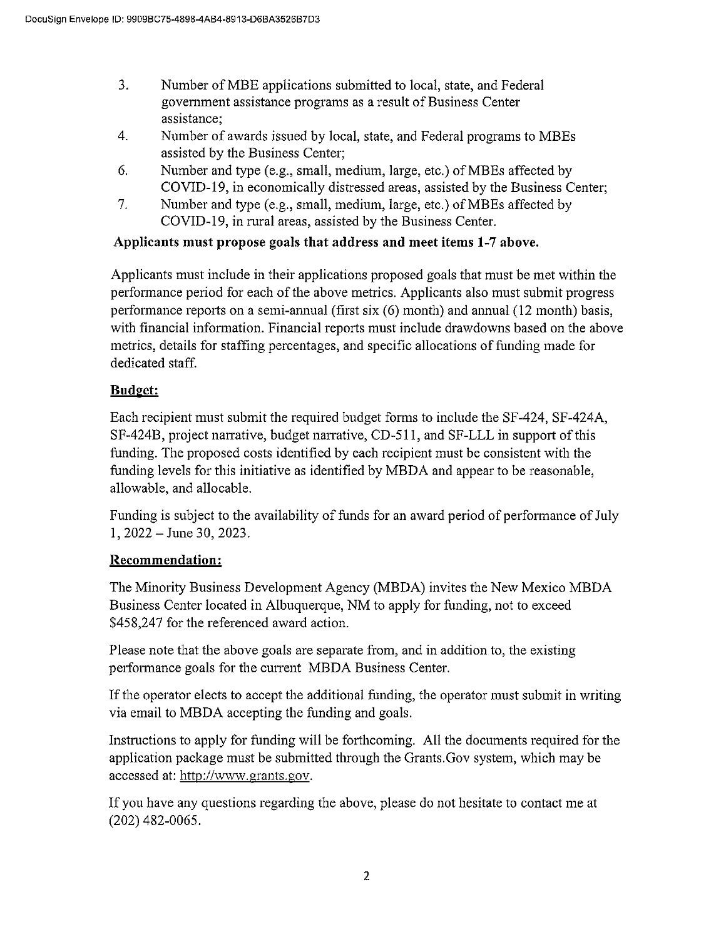- $3.$ Number of MBE applications submitted to local, state, and Federal government assistance programs as a result of Business Center assistance;
- $\overline{4}$ . Number of awards issued by local, state, and Federal programs to MBEs assisted by the Business Center;
- 6. Number and type (e.g., small, medium, large, etc.) of MBEs affected by COVID-19, in economically distressed areas, assisted by the Business Center;
- $7.$ Number and type (e.g., small, medium, large, etc.) of MBEs affected by COVID-19, in rural areas, assisted by the Business Center.

## Applicants must propose goals that address and meet items 1-7 above.

Applicants must include in their applications proposed goals that must be met within the performance period for each of the above metrics. Applicants also must submit progress performance reports on a semi-annual (first six (6) month) and annual (12 month) basis, with financial information. Financial reports must include drawdowns based on the above metrics, details for staffing percentages, and specific allocations of funding made for dedicated staff.

### **Budget:**

Each recipient must submit the required budget forms to include the SF-424, SF-424A, SF-424B, project narrative, budget narrative, CD-511, and SF-LLL in support of this funding. The proposed costs identified by each recipient must be consistent with the funding levels for this initiative as identified by MBDA and appear to be reasonable, allowable, and allocable.

Funding is subject to the availability of funds for an award period of performance of July  $1, 2022 - June 30, 2023.$ 

### Recommendation:

The Minority Business Development Agency (MBDA) invites the New Mexico MBDA Business Center located in Albuquerque, NM to apply for funding, not to exceed \$458,247 for the referenced award action.

Please note that the above goals are separate from, and in addition to, the existing performance goals for the current MBDA Business Center.

If the operator elects to accept the additional funding, the operator must submit in writing via email to MBDA accepting the funding and goals.

Instructions to apply for funding will be forthcoming. All the documents required for the application package must be submitted through the Grants. Gov system, which may be accessed at: http://www.grants.gov.

If you have any questions regarding the above, please do not hesitate to contact me at  $(202)$  482-0065.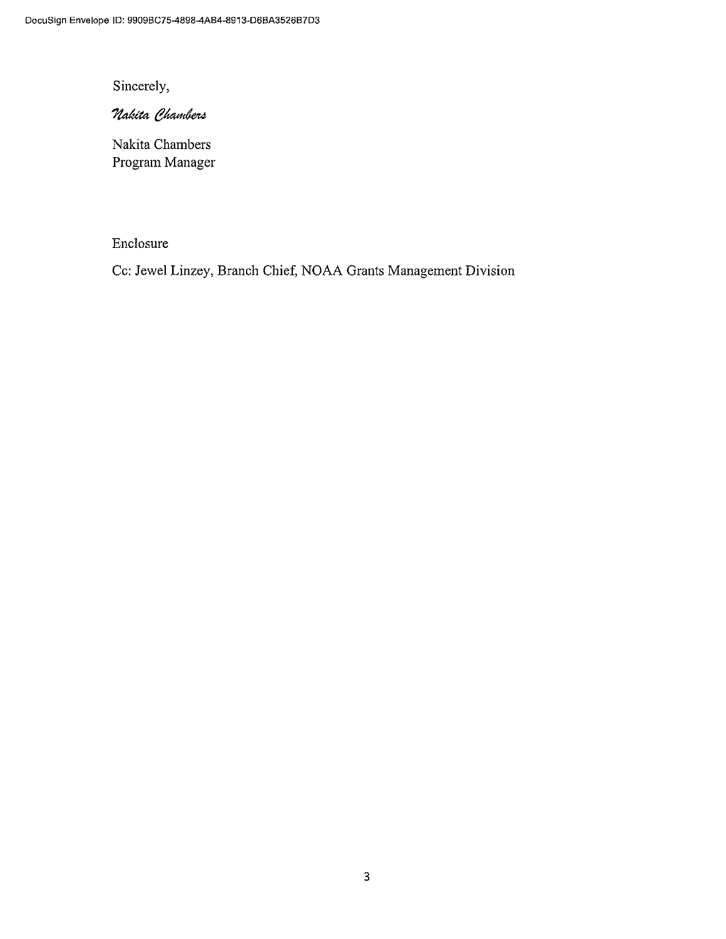Sincerely,

## Nakita Chambers

Nakita Chambers Program Manager

### Enclosure

Cc: Jewel Linzey, Branch Chief, NOAA Grants Management Division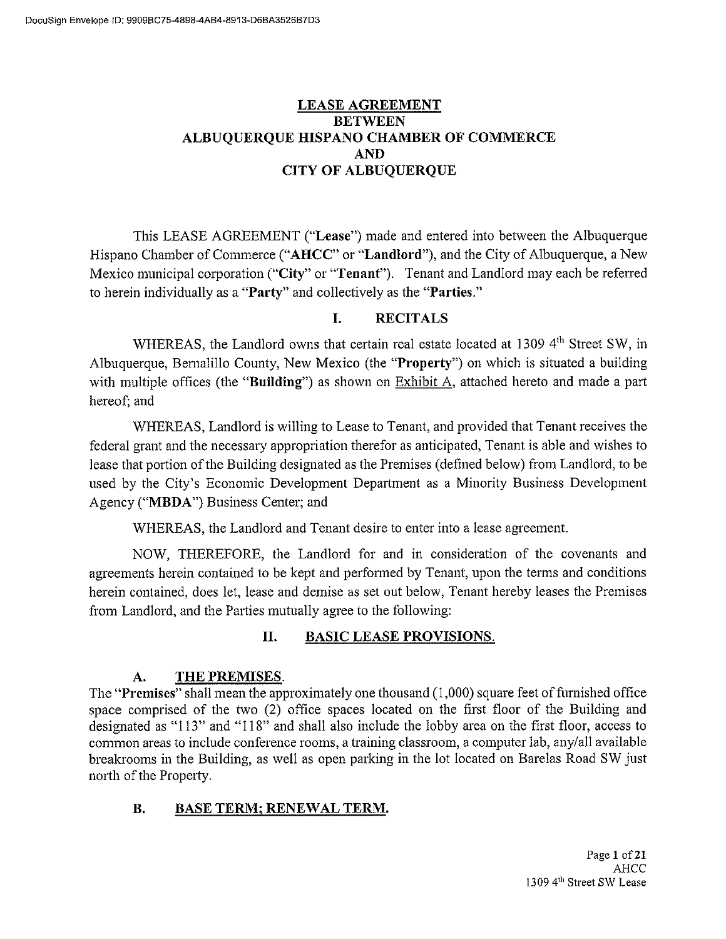### **LEASE AGREEMENT BETWEEN** ALBUQUERQUE HISPANO CHAMBER OF COMMERCE AND. **CITY OF ALBUQUERQUE**

This LEASE AGREEMENT ("Lease") made and entered into between the Albuquerque Hispano Chamber of Commerce ("AHCC" or "Landlord"), and the City of Albuquerque, a New Mexico municipal corporation ("City" or "Tenant"). Tenant and Landlord may each be referred to herein individually as a "Party" and collectively as the "Parties."

#### L. **RECITALS**

WHEREAS, the Landlord owns that certain real estate located at 1309 4<sup>th</sup> Street SW, in Albuquerque, Bernalillo County, New Mexico (the "Property") on which is situated a building with multiple offices (the "Building") as shown on  $Exhibit A$ , attached hereto and made a part hereof; and

WHEREAS, Landlord is willing to Lease to Tenant, and provided that Tenant receives the federal grant and the necessary appropriation therefor as anticipated, Tenant is able and wishes to lease that portion of the Building designated as the Premises (defined below) from Landlord, to be used by the City's Economic Development Department as a Minority Business Development Agency ("MBDA") Business Center; and

WHEREAS, the Landlord and Tenant desire to enter into a lease agreement.

NOW, THEREFORE, the Landlord for and in consideration of the covenants and agreements herein contained to be kept and performed by Tenant, upon the terms and conditions herein contained, does let, lease and demise as set out below, Tenant hereby leases the Premises from Landlord, and the Parties mutually agree to the following:

#### **BASIC LEASE PROVISIONS.** П.

#### THE PREMISES.  $A.$

The "Premises" shall mean the approximately one thousand (1,000) square feet of furnished office space comprised of the two (2) office spaces located on the first floor of the Building and designated as "113" and "118" and shall also include the lobby area on the first floor, access to common areas to include conference rooms, a training classroom, a computer lab, any/all available breakrooms in the Building, as well as open parking in the lot located on Barelas Road SW just north of the Property.

#### **B. BASE TERM; RENEWAL TERM.**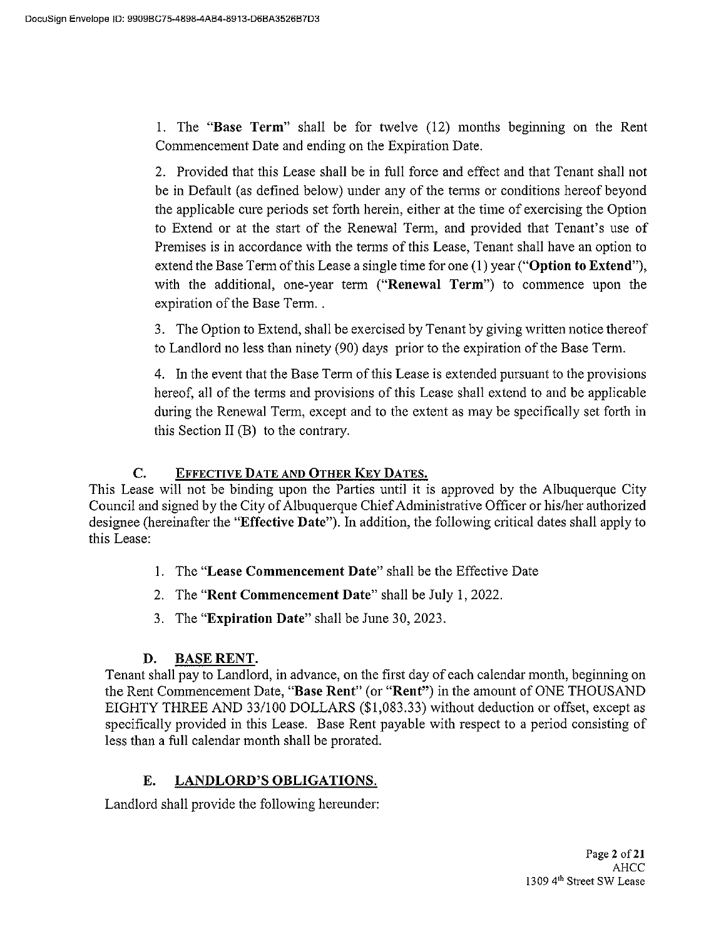1. The "Base Term" shall be for twelve (12) months beginning on the Rent Commencement Date and ending on the Expiration Date.

2. Provided that this Lease shall be in full force and effect and that Tenant shall not be in Default (as defined below) under any of the terms or conditions hereof beyond the applicable cure periods set forth herein, either at the time of exercising the Option to Extend or at the start of the Renewal Term, and provided that Tenant's use of Premises is in accordance with the terms of this Lease, Tenant shall have an option to extend the Base Term of this Lease a single time for one (1) year ("Option to Extend"), with the additional, one-year term ("Renewal Term") to commence upon the expiration of the Base Term..

3. The Option to Extend, shall be exercised by Tenant by giving written notice thereof to Landlord no less than ninety (90) days prior to the expiration of the Base Term.

4. In the event that the Base Term of this Lease is extended pursuant to the provisions hereof, all of the terms and provisions of this Lease shall extend to and be applicable during the Renewal Term, except and to the extent as may be specifically set forth in this Section II (B) to the contrary.

#### EFFECTIVE DATE AND OTHER KEY DATES. C.

This Lease will not be binding upon the Parties until it is approved by the Albuquerque City Council and signed by the City of Albuquerque Chief Administrative Officer or his/her authorized designee (hereinafter the "Effective Date"). In addition, the following critical dates shall apply to this Lease:

- 1. The "Lease Commencement Date" shall be the Effective Date
- 2. The "Rent Commencement Date" shall be July 1, 2022.
- 3. The "Expiration Date" shall be June 30, 2023.

#### D. **BASE RENT.**

Tenant shall pay to Landlord, in advance, on the first day of each calendar month, beginning on the Rent Commencement Date, "Base Rent" (or "Rent") in the amount of ONE THOUSAND EIGHTY THREE AND 33/100 DOLLARS (\$1,083.33) without deduction or offset, except as specifically provided in this Lease. Base Rent payable with respect to a period consisting of less than a full calendar month shall be prorated.

#### E. **LANDLORD'S OBLIGATIONS.**

Landlord shall provide the following hereunder: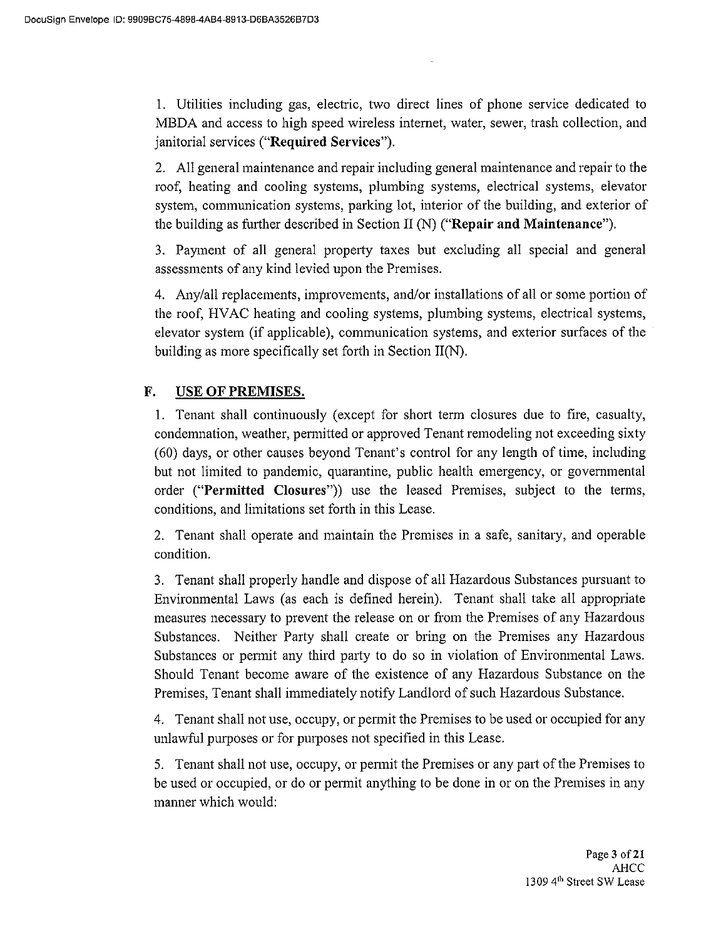1. Utilities including gas, electric, two direct lines of phone service dedicated to MBDA and access to high speed wireless internet, water, sewer, trash collection, and janitorial services ("Required Services").

2. All general maintenance and repair including general maintenance and repair to the roof, heating and cooling systems, plumbing systems, electrical systems, elevator system, communication systems, parking lot, interior of the building, and exterior of the building as further described in Section II (N) ("Repair and Maintenance").

3. Payment of all general property taxes but excluding all special and general assessments of any kind levied upon the Premises.

4. Any/all replacements, improvements, and/or installations of all or some portion of the roof, HVAC heating and cooling systems, plumbing systems, electrical systems, elevator system (if applicable), communication systems, and exterior surfaces of the building as more specifically set forth in Section II(N).

#### F. **USE OF PREMISES.**

1. Tenant shall continuously (except for short term closures due to fire, casualty, condemnation, weather, permitted or approved Tenant remodeling not exceeding sixty (60) days, or other causes beyond Tenant's control for any length of time, including but not limited to pandemic, quarantine, public health emergency, or governmental order ("Permitted Closures")) use the leased Premises, subject to the terms, conditions, and limitations set forth in this Lease.

2. Tenant shall operate and maintain the Premises in a safe, sanitary, and operable condition.

3. Tenant shall properly handle and dispose of all Hazardous Substances pursuant to Environmental Laws (as each is defined herein). Tenant shall take all appropriate measures necessary to prevent the release on or from the Premises of any Hazardous Substances. Neither Party shall create or bring on the Premises any Hazardous Substances or permit any third party to do so in violation of Environmental Laws. Should Tenant become aware of the existence of any Hazardous Substance on the Premises, Tenant shall immediately notify Landlord of such Hazardous Substance.

4. Tenant shall not use, occupy, or permit the Premises to be used or occupied for any unlawful purposes or for purposes not specified in this Lease.

5. Tenant shall not use, occupy, or permit the Premises or any part of the Premises to be used or occupied, or do or permit anything to be done in or on the Premises in any manner which would: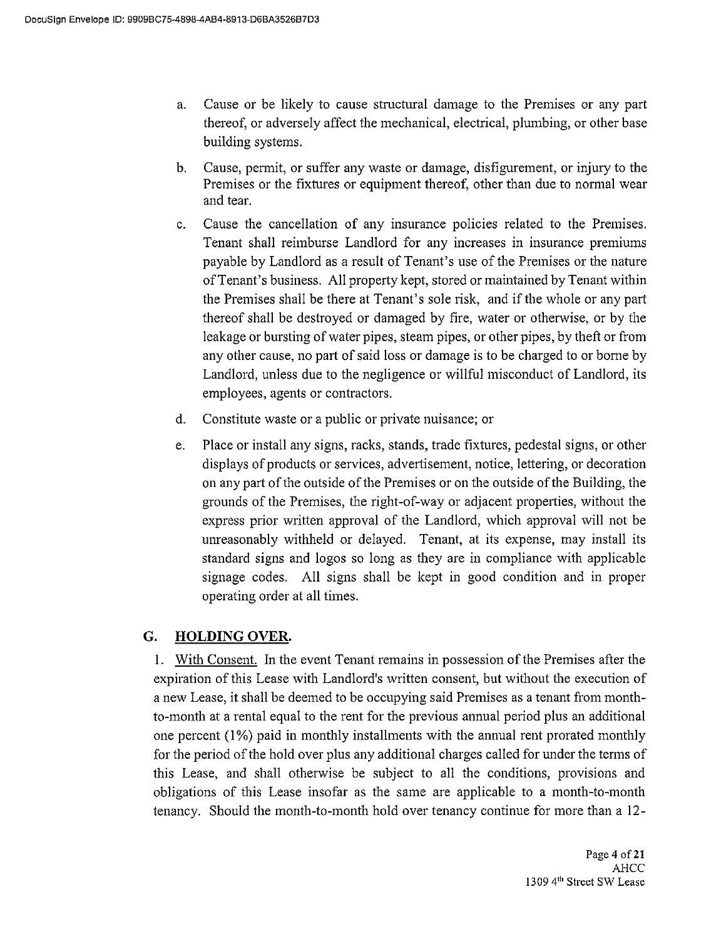- Cause or be likely to cause structural damage to the Premises or any part a. thereof, or adversely affect the mechanical, electrical, plumbing, or other base building systems.
- b. Cause, permit, or suffer any waste or damage, disfigurement, or injury to the Premises or the fixtures or equipment thereof, other than due to normal wear and tear.
- Cause the cancellation of any insurance policies related to the Premises.  $\mathbf{C}$ . Tenant shall reimburse Landlord for any increases in insurance premiums payable by Landlord as a result of Tenant's use of the Premises or the nature of Tenant's business. All property kept, stored or maintained by Tenant within the Premises shall be there at Tenant's sole risk, and if the whole or any part thereof shall be destroyed or damaged by fire, water or otherwise, or by the leakage or bursting of water pipes, steam pipes, or other pipes, by theft or from any other cause, no part of said loss or damage is to be charged to or borne by Landlord, unless due to the negligence or willful misconduct of Landlord, its employees, agents or contractors.
- $d_{\cdot}$ Constitute waste or a public or private nuisance; or
- Place or install any signs, racks, stands, trade fixtures, pedestal signs, or other e. displays of products or services, advertisement, notice, lettering, or decoration on any part of the outside of the Premises or on the outside of the Building, the grounds of the Premises, the right-of-way or adjacent properties, without the express prior written approval of the Landlord, which approval will not be unreasonably withheld or delayed. Tenant, at its expense, may install its standard signs and logos so long as they are in compliance with applicable signage codes. All signs shall be kept in good condition and in proper operating order at all times.

#### G. **HOLDING OVER.**

1. With Consent. In the event Tenant remains in possession of the Premises after the expiration of this Lease with Landlord's written consent, but without the execution of a new Lease, it shall be deemed to be occupying said Premises as a tenant from monthto-month at a rental equal to the rent for the previous annual period plus an additional one percent (1%) paid in monthly installments with the annual rent prorated monthly for the period of the hold over plus any additional charges called for under the terms of this Lease, and shall otherwise be subject to all the conditions, provisions and obligations of this Lease insofar as the same are applicable to a month-to-month tenancy. Should the month-to-month hold over tenancy continue for more than a 12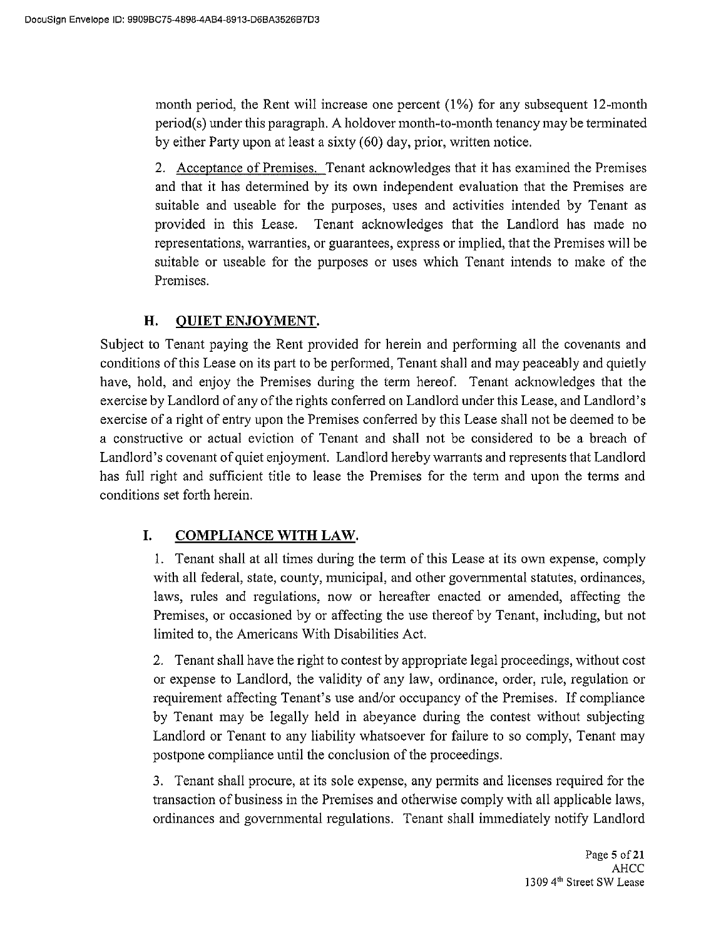month period, the Rent will increase one percent (1%) for any subsequent 12-month period(s) under this paragraph. A holdover month-to-month tenancy may be terminated by either Party upon at least a sixty (60) day, prior, written notice.

2. Acceptance of Premises. Tenant acknowledges that it has examined the Premises and that it has determined by its own independent evaluation that the Premises are suitable and useable for the purposes, uses and activities intended by Tenant as provided in this Lease. Tenant acknowledges that the Landlord has made no representations, warranties, or guarantees, express or implied, that the Premises will be suitable or useable for the purposes or uses which Tenant intends to make of the Premises.

#### H. **QUIET ENJOYMENT.**

Subject to Tenant paying the Rent provided for herein and performing all the covenants and conditions of this Lease on its part to be performed. Tenant shall and may peaceably and quietly have, hold, and enjoy the Premises during the term hereof. Tenant acknowledges that the exercise by Landlord of any of the rights conferred on Landlord under this Lease, and Landlord's exercise of a right of entry upon the Premises conferred by this Lease shall not be deemed to be a constructive or actual eviction of Tenant and shall not be considered to be a breach of Landlord's covenant of quiet enjoyment. Landlord hereby warrants and represents that Landlord has full right and sufficient title to lease the Premises for the term and upon the terms and conditions set forth herein.

#### I. **COMPLIANCE WITH LAW.**

1. Tenant shall at all times during the term of this Lease at its own expense, comply with all federal, state, county, municipal, and other governmental statutes, ordinances, laws, rules and regulations, now or hereafter enacted or amended, affecting the Premises, or occasioned by or affecting the use thereof by Tenant, including, but not limited to, the Americans With Disabilities Act.

2. Tenant shall have the right to contest by appropriate legal proceedings, without cost or expense to Landlord, the validity of any law, ordinance, order, rule, regulation or requirement affecting Tenant's use and/or occupancy of the Premises. If compliance by Tenant may be legally held in abeyance during the contest without subjecting Landlord or Tenant to any liability whatsoever for failure to so comply, Tenant may postpone compliance until the conclusion of the proceedings.

3. Tenant shall procure, at its sole expense, any permits and licenses required for the transaction of business in the Premises and otherwise comply with all applicable laws, ordinances and governmental regulations. Tenant shall immediately notify Landlord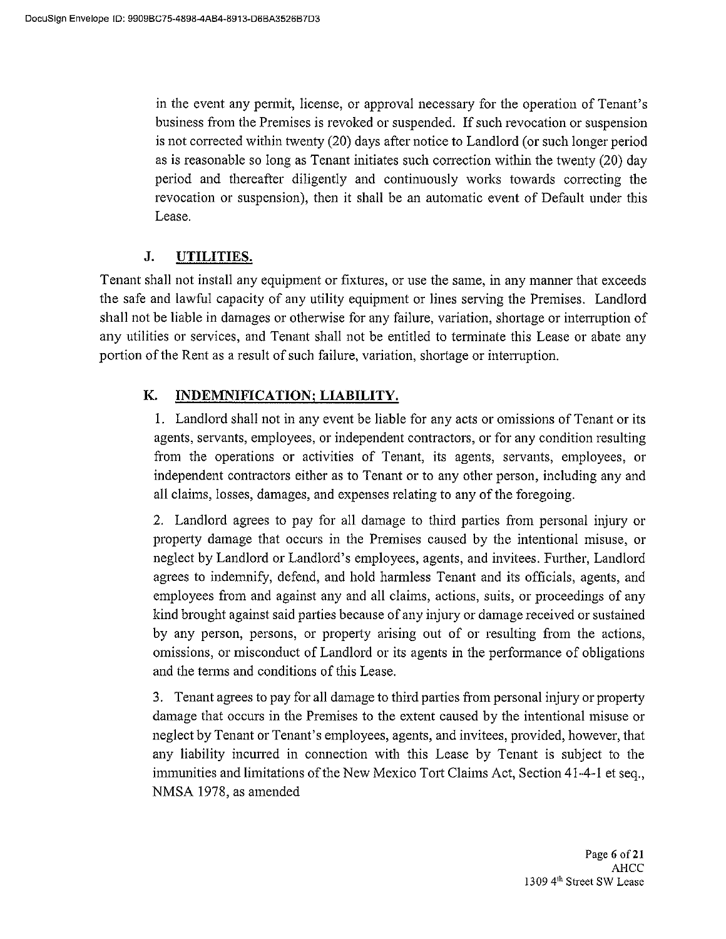in the event any permit, license, or approval necessary for the operation of Tenant's business from the Premises is revoked or suspended. If such revocation or suspension is not corrected within twenty (20) days after notice to Landlord (or such longer period as is reasonable so long as Tenant initiates such correction within the twenty (20) day period and thereafter diligently and continuously works towards correcting the revocation or suspension), then it shall be an automatic event of Default under this Lease.

#### J. UTILITIES.

Tenant shall not install any equipment or fixtures, or use the same, in any manner that exceeds the safe and lawful capacity of any utility equipment or lines serving the Premises. Landlord shall not be liable in damages or otherwise for any failure, variation, shortage or interruption of any utilities or services, and Tenant shall not be entitled to terminate this Lease or abate any portion of the Rent as a result of such failure, variation, shortage or interruption.

#### К. **INDEMNIFICATION; LIABILITY.**

1. Landlord shall not in any event be liable for any acts or omissions of Tenant or its agents, servants, employees, or independent contractors, or for any condition resulting from the operations or activities of Tenant, its agents, servants, employees, or independent contractors either as to Tenant or to any other person, including any and all claims, losses, damages, and expenses relating to any of the foregoing.

2. Landlord agrees to pay for all damage to third parties from personal injury or property damage that occurs in the Premises caused by the intentional misuse, or neglect by Landlord or Landlord's employees, agents, and invitees. Further, Landlord agrees to indemnify, defend, and hold harmless Tenant and its officials, agents, and employees from and against any and all claims, actions, suits, or proceedings of any kind brought against said parties because of any injury or damage received or sustained by any person, persons, or property arising out of or resulting from the actions, omissions, or misconduct of Landlord or its agents in the performance of obligations and the terms and conditions of this Lease.

3. Tenant agrees to pay for all damage to third parties from personal injury or property damage that occurs in the Premises to the extent caused by the intentional misuse or neglect by Tenant or Tenant's employees, agents, and invitees, provided, however, that any liability incurred in connection with this Lease by Tenant is subject to the immunities and limitations of the New Mexico Tort Claims Act, Section 41-4-1 et seq., NMSA 1978, as amended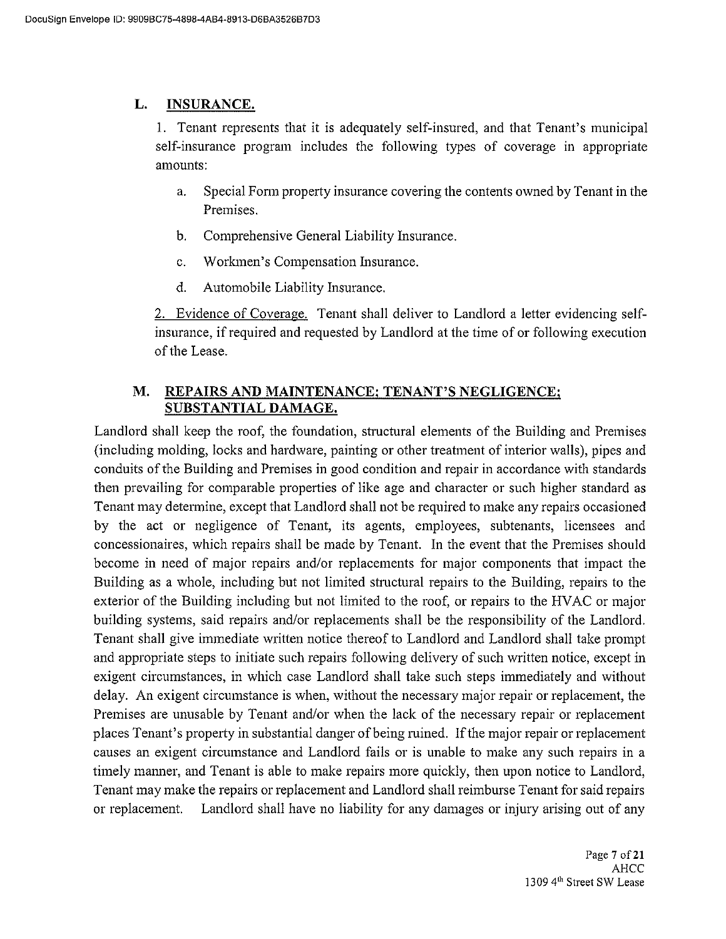#### L. **INSURANCE.**

1. Tenant represents that it is adequately self-insured, and that Tenant's municipal self-insurance program includes the following types of coverage in appropriate amounts:

- Special Form property insurance covering the contents owned by Tenant in the a. Premises.
- $\mathbf b$ . Comprehensive General Liability Insurance.
- Workmen's Compensation Insurance.  $\mathbf{c}$ .
- d. Automobile Liability Insurance.

2. Evidence of Coverage. Tenant shall deliver to Landlord a letter evidencing selfinsurance, if required and requested by Landlord at the time of or following execution of the Lease.

### **M.** REPAIRS AND MAINTENANCE; TENANT'S NEGLIGENCE; SUBSTANTIAL DAMAGE.

Landlord shall keep the roof, the foundation, structural elements of the Building and Premises (including molding, locks and hardware, painting or other treatment of interior walls), pipes and conduits of the Building and Premises in good condition and repair in accordance with standards then prevailing for comparable properties of like age and character or such higher standard as Tenant may determine, except that Landlord shall not be required to make any repairs occasioned by the act or negligence of Tenant, its agents, employees, subtenants, licensees and concessionaires, which repairs shall be made by Tenant. In the event that the Premises should become in need of major repairs and/or replacements for major components that impact the Building as a whole, including but not limited structural repairs to the Building, repairs to the exterior of the Building including but not limited to the roof, or repairs to the HVAC or major building systems, said repairs and/or replacements shall be the responsibility of the Landlord. Tenant shall give immediate written notice thereof to Landlord and Landlord shall take prompt and appropriate steps to initiate such repairs following delivery of such written notice, except in exigent circumstances, in which case Landlord shall take such steps immediately and without delay. An exigent circumstance is when, without the necessary major repair or replacement, the Premises are unusable by Tenant and/or when the lack of the necessary repair or replacement places Tenant's property in substantial danger of being ruined. If the major repair or replacement causes an exigent circumstance and Landlord fails or is unable to make any such repairs in a timely manner, and Tenant is able to make repairs more quickly, then upon notice to Landlord, Tenant may make the repairs or replacement and Landlord shall reimburse Tenant for said repairs or replacement. Landlord shall have no liability for any damages or injury arising out of any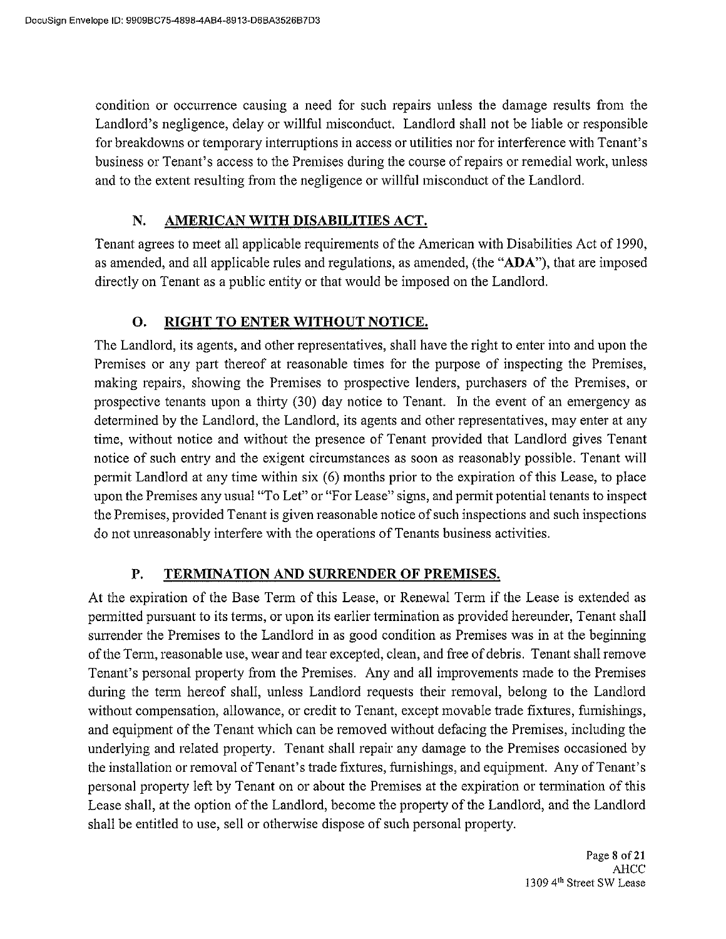condition or occurrence causing a need for such repairs unless the damage results from the Landlord's negligence, delay or willful misconduct. Landlord shall not be liable or responsible for breakdowns or temporary interruptions in access or utilities nor for interference with Tenant's business or Tenant's access to the Premises during the course of repairs or remedial work, unless and to the extent resulting from the negligence or willful misconduct of the Landlord.

#### AMERICAN WITH DISABILITIES ACT. N.

Tenant agrees to meet all applicable requirements of the American with Disabilities Act of 1990, as amended, and all applicable rules and regulations, as amended, (the "ADA"), that are imposed directly on Tenant as a public entity or that would be imposed on the Landlord.

#### RIGHT TO ENTER WITHOUT NOTICE. **O.**

The Landlord, its agents, and other representatives, shall have the right to enter into and upon the Premises or any part thereof at reasonable times for the purpose of inspecting the Premises, making repairs, showing the Premises to prospective lenders, purchasers of the Premises, or prospective tenants upon a thirty (30) day notice to Tenant. In the event of an emergency as determined by the Landlord, the Landlord, its agents and other representatives, may enter at any time, without notice and without the presence of Tenant provided that Landlord gives Tenant notice of such entry and the exigent circumstances as soon as reasonably possible. Tenant will permit Landlord at any time within six (6) months prior to the expiration of this Lease, to place upon the Premises any usual "To Let" or "For Lease" signs, and permit potential tenants to inspect the Premises, provided Tenant is given reasonable notice of such inspections and such inspections do not unreasonably interfere with the operations of Tenants business activities.

#### P. TERMINATION AND SURRENDER OF PREMISES.

At the expiration of the Base Term of this Lease, or Renewal Term if the Lease is extended as permitted pursuant to its terms, or upon its earlier termination as provided hereunder, Tenant shall surrender the Premises to the Landlord in as good condition as Premises was in at the beginning of the Term, reasonable use, wear and tear excepted, clean, and free of debris. Tenant shall remove Tenant's personal property from the Premises. Any and all improvements made to the Premises during the term hereof shall, unless Landlord requests their removal, belong to the Landlord without compensation, allowance, or credit to Tenant, except movable trade fixtures, furnishings, and equipment of the Tenant which can be removed without defacing the Premises, including the underlying and related property. Tenant shall repair any damage to the Premises occasioned by the installation or removal of Tenant's trade fixtures, furnishings, and equipment. Any of Tenant's personal property left by Tenant on or about the Premises at the expiration or termination of this Lease shall, at the option of the Landlord, become the property of the Landlord, and the Landlord shall be entitled to use, sell or otherwise dispose of such personal property.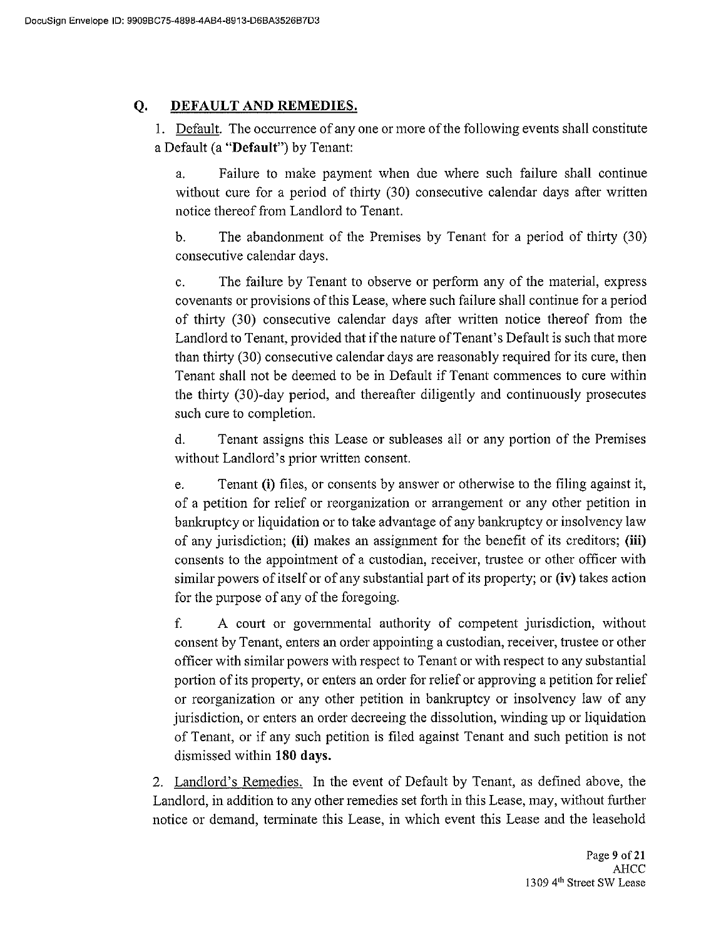#### **O.** DEFAULT AND REMEDIES.

1. Default. The occurrence of any one or more of the following events shall constitute a Default (a "Default") by Tenant:

Failure to make payment when due where such failure shall continue a. without cure for a period of thirty (30) consecutive calendar days after written notice thereof from Landlord to Tenant.

 $\mathbf{b}$ . The abandonment of the Premises by Tenant for a period of thirty (30) consecutive calendar days.

The failure by Tenant to observe or perform any of the material, express  $\mathbf{c}$ . covenants or provisions of this Lease, where such failure shall continue for a period of thirty (30) consecutive calendar days after written notice thereof from the Landlord to Tenant, provided that if the nature of Tenant's Default is such that more than thirty (30) consecutive calendar days are reasonably required for its cure, then Tenant shall not be deemed to be in Default if Tenant commences to cure within the thirty (30)-day period, and thereafter diligently and continuously prosecutes such cure to completion.

Tenant assigns this Lease or subleases all or any portion of the Premises d. without Landlord's prior written consent.

Tenant (i) files, or consents by answer or otherwise to the filing against it, e. of a petition for relief or reorganization or arrangement or any other petition in bankruptcy or liquidation or to take advantage of any bankruptcy or insolvency law of any jurisdiction; (ii) makes an assignment for the benefit of its creditors; (iii) consents to the appointment of a custodian, receiver, trustee or other officer with similar powers of itself or of any substantial part of its property; or (iv) takes action for the purpose of any of the foregoing.

f. A court or governmental authority of competent jurisdiction, without consent by Tenant, enters an order appointing a custodian, receiver, trustee or other officer with similar powers with respect to Tenant or with respect to any substantial portion of its property, or enters an order for relief or approving a petition for relief or reorganization or any other petition in bankruptcy or insolvency law of any jurisdiction, or enters an order decreeing the dissolution, winding up or liquidation of Tenant, or if any such petition is filed against Tenant and such petition is not dismissed within 180 days.

2. Landlord's Remedies. In the event of Default by Tenant, as defined above, the Landlord, in addition to any other remedies set forth in this Lease, may, without further notice or demand, terminate this Lease, in which event this Lease and the leasehold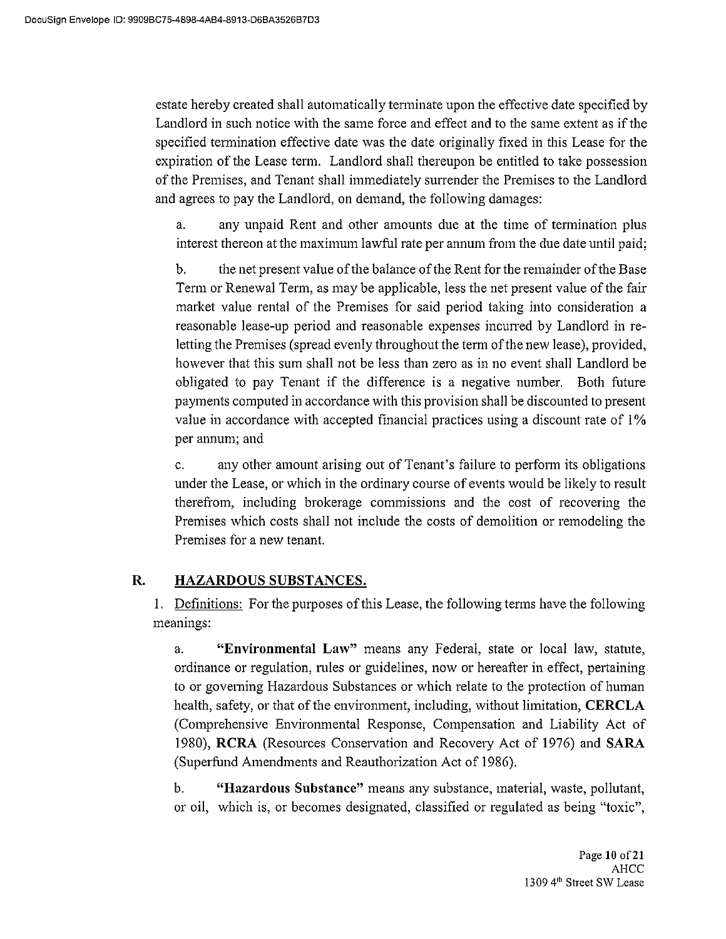estate hereby created shall automatically terminate upon the effective date specified by Landlord in such notice with the same force and effect and to the same extent as if the specified termination effective date was the date originally fixed in this Lease for the expiration of the Lease term. Landlord shall thereupon be entitled to take possession of the Premises, and Tenant shall immediately surrender the Premises to the Landlord and agrees to pay the Landlord, on demand, the following damages:

any unpaid Rent and other amounts due at the time of termination plus  $a<sub>z</sub>$ interest thereon at the maximum lawful rate per annum from the due date until paid;

the net present value of the balance of the Rent for the remainder of the Base  $\mathbf b$ Term or Renewal Term, as may be applicable, less the net present value of the fair market value rental of the Premises for said period taking into consideration a reasonable lease-up period and reasonable expenses incurred by Landlord in reletting the Premises (spread evenly throughout the term of the new lease), provided, however that this sum shall not be less than zero as in no event shall Landlord be obligated to pay Tenant if the difference is a negative number. Both future payments computed in accordance with this provision shall be discounted to present value in accordance with accepted financial practices using a discount rate of 1% per annum; and

any other amount arising out of Tenant's failure to perform its obligations c. under the Lease, or which in the ordinary course of events would be likely to result therefrom, including brokerage commissions and the cost of recovering the Premises which costs shall not include the costs of demolition or remodeling the Premises for a new tenant.

#### R. HAZARDOUS SUBSTANCES.

1. Definitions: For the purposes of this Lease, the following terms have the following meanings:

"Environmental Law" means any Federal, state or local law, statute,  $\mathbf{a}$ ordinance or regulation, rules or guidelines, now or hereafter in effect, pertaining to or governing Hazardous Substances or which relate to the protection of human health, safety, or that of the environment, including, without limitation, CERCLA (Comprehensive Environmental Response, Compensation and Liability Act of 1980), RCRA (Resources Conservation and Recovery Act of 1976) and SARA (Superfund Amendments and Reauthorization Act of 1986).

 $\mathbf{b}$ . "Hazardous Substance" means any substance, material, waste, pollutant, or oil, which is, or becomes designated, classified or regulated as being "toxic",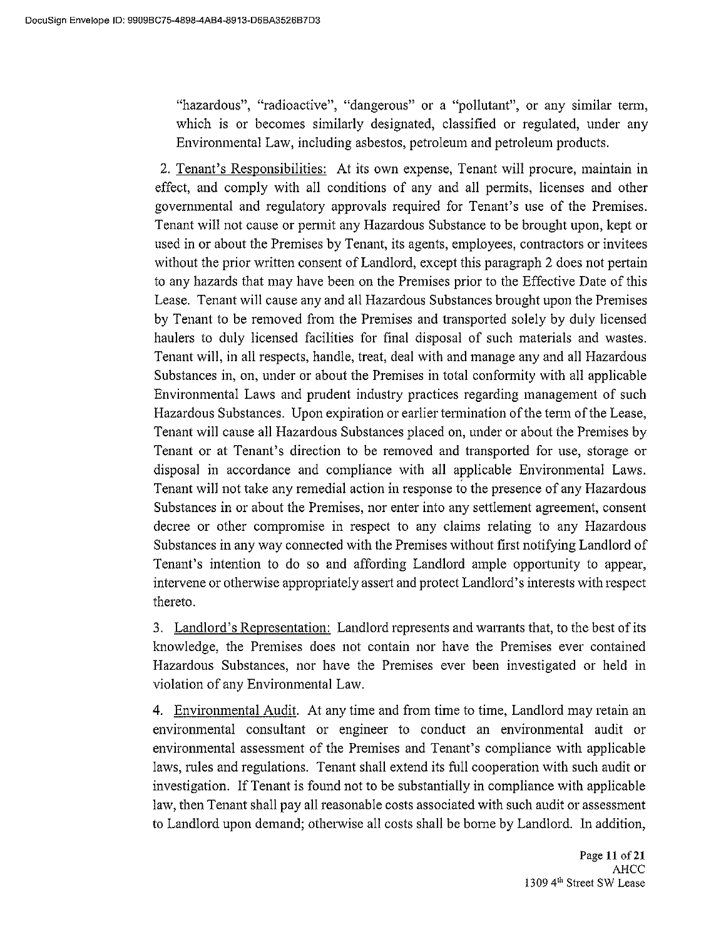"hazardous", "radioactive", "dangerous" or a "pollutant", or any similar term, which is or becomes similarly designated, classified or regulated, under any Environmental Law, including asbestos, petroleum and petroleum products.

2. Tenant's Responsibilities: At its own expense, Tenant will procure, maintain in effect, and comply with all conditions of any and all permits, licenses and other governmental and regulatory approvals required for Tenant's use of the Premises. Tenant will not cause or permit any Hazardous Substance to be brought upon, kept or used in or about the Premises by Tenant, its agents, employees, contractors or invitees without the prior written consent of Landlord, except this paragraph 2 does not pertain to any hazards that may have been on the Premises prior to the Effective Date of this Lease. Tenant will cause any and all Hazardous Substances brought upon the Premises by Tenant to be removed from the Premises and transported solely by duly licensed haulers to duly licensed facilities for final disposal of such materials and wastes. Tenant will, in all respects, handle, treat, deal with and manage any and all Hazardous Substances in, on, under or about the Premises in total conformity with all applicable Environmental Laws and prudent industry practices regarding management of such Hazardous Substances. Upon expiration or earlier termination of the term of the Lease, Tenant will cause all Hazardous Substances placed on, under or about the Premises by Tenant or at Tenant's direction to be removed and transported for use, storage or disposal in accordance and compliance with all applicable Environmental Laws. Tenant will not take any remedial action in response to the presence of any Hazardous Substances in or about the Premises, nor enter into any settlement agreement, consent decree or other compromise in respect to any claims relating to any Hazardous Substances in any way connected with the Premises without first notifying Landlord of Tenant's intention to do so and affording Landlord ample opportunity to appear, intervene or otherwise appropriately assert and protect Landlord's interests with respect thereto.

3. Landlord's Representation: Landlord represents and warrants that, to the best of its knowledge, the Premises does not contain nor have the Premises ever contained Hazardous Substances, nor have the Premises ever been investigated or held in violation of any Environmental Law.

4. Environmental Audit. At any time and from time to time, Landlord may retain an environmental consultant or engineer to conduct an environmental audit or environmental assessment of the Premises and Tenant's compliance with applicable laws, rules and regulations. Tenant shall extend its full cooperation with such audit or investigation. If Tenant is found not to be substantially in compliance with applicable law, then Tenant shall pay all reasonable costs associated with such audit or assessment to Landlord upon demand; otherwise all costs shall be borne by Landlord. In addition,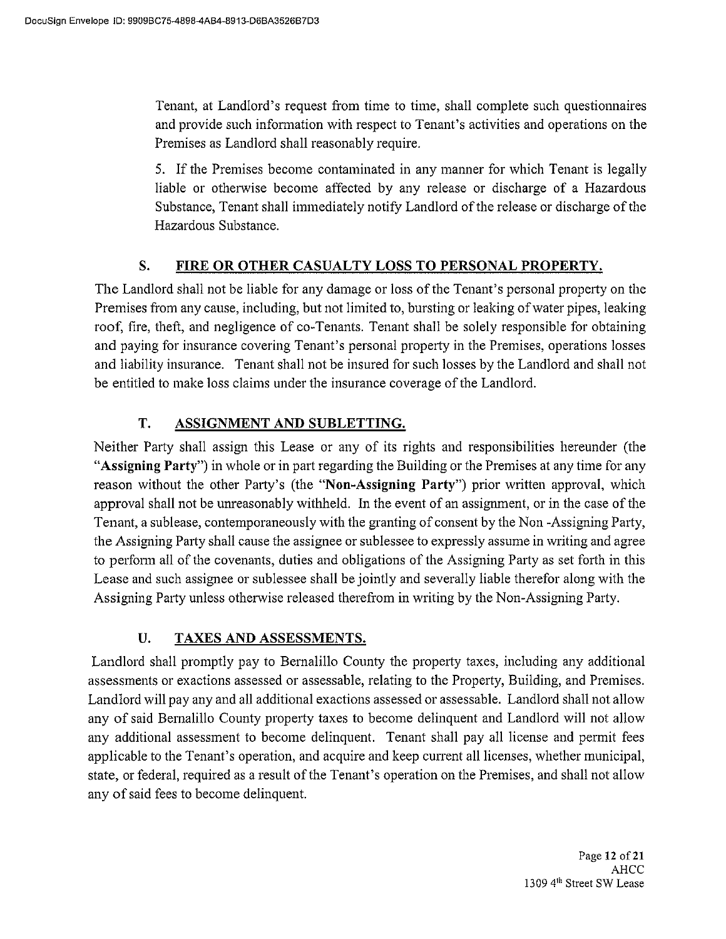Tenant, at Landlord's request from time to time, shall complete such questionnaires and provide such information with respect to Tenant's activities and operations on the Premises as Landlord shall reasonably require.

5. If the Premises become contaminated in any manner for which Tenant is legally liable or otherwise become affected by any release or discharge of a Hazardous Substance, Tenant shall immediately notify Landlord of the release or discharge of the Hazardous Substance.

#### S. FIRE OR OTHER CASUALTY LOSS TO PERSONAL PROPERTY.

The Landlord shall not be liable for any damage or loss of the Tenant's personal property on the Premises from any cause, including, but not limited to, bursting or leaking of water pipes, leaking roof, fire, theft, and negligence of co-Tenants. Tenant shall be solely responsible for obtaining and paying for insurance covering Tenant's personal property in the Premises, operations losses and liability insurance. Tenant shall not be insured for such losses by the Landlord and shall not be entitled to make loss claims under the insurance coverage of the Landlord.

#### T. ASSIGNMENT AND SUBLETTING.

Neither Party shall assign this Lease or any of its rights and responsibilities hereunder (the "Assigning Party") in whole or in part regarding the Building or the Premises at any time for any reason without the other Party's (the "Non-Assigning Party") prior written approval, which approval shall not be unreasonably withheld. In the event of an assignment, or in the case of the Tenant, a sublease, contemporaneously with the granting of consent by the Non-Assigning Party, the Assigning Party shall cause the assignee or sublessee to expressly assume in writing and agree to perform all of the covenants, duties and obligations of the Assigning Party as set forth in this Lease and such assignee or sublessee shall be jointly and severally liable therefor along with the Assigning Party unless otherwise released therefrom in writing by the Non-Assigning Party.

#### U. **TAXES AND ASSESSMENTS.**

Landlord shall promptly pay to Bernalillo County the property taxes, including any additional assessments or exactions assessed or assessable, relating to the Property, Building, and Premises. Landlord will pay any and all additional exactions assessed or assessable. Landlord shall not allow any of said Bernalillo County property taxes to become delinquent and Landlord will not allow any additional assessment to become delinquent. Tenant shall pay all license and permit fees applicable to the Tenant's operation, and acquire and keep current all licenses, whether municipal, state, or federal, required as a result of the Tenant's operation on the Premises, and shall not allow any of said fees to become delinquent.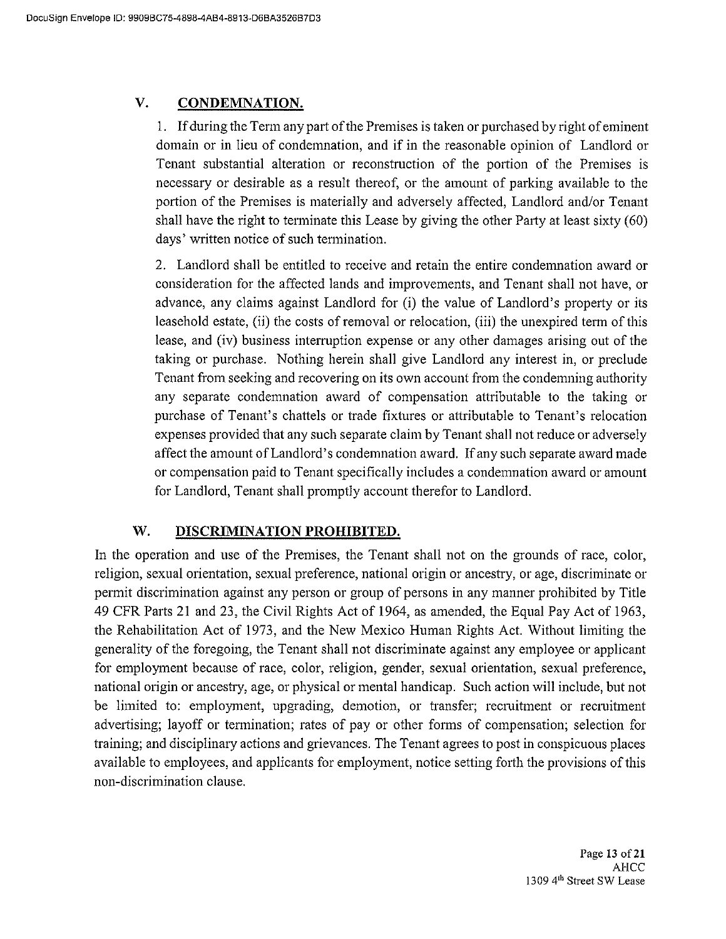#### V. **CONDEMNATION.**

1. If during the Term any part of the Premises is taken or purchased by right of eminent domain or in lieu of condemnation, and if in the reasonable opinion of Landlord or Tenant substantial alteration or reconstruction of the portion of the Premises is necessary or desirable as a result thereof, or the amount of parking available to the portion of the Premises is materially and adversely affected, Landlord and/or Tenant shall have the right to terminate this Lease by giving the other Party at least sixty (60) days' written notice of such termination.

2. Landlord shall be entitled to receive and retain the entire condemnation award or consideration for the affected lands and improvements, and Tenant shall not have, or advance, any claims against Landlord for (i) the value of Landlord's property or its leasehold estate, (ii) the costs of removal or relocation, (iii) the unexpired term of this lease, and (iv) business interruption expense or any other damages arising out of the taking or purchase. Nothing herein shall give Landlord any interest in, or preclude Tenant from seeking and recovering on its own account from the condemning authority any separate condemnation award of compensation attributable to the taking or purchase of Tenant's chattels or trade fixtures or attributable to Tenant's relocation expenses provided that any such separate claim by Tenant shall not reduce or adversely affect the amount of Landlord's condemnation award. If any such separate award made or compensation paid to Tenant specifically includes a condemnation award or amount for Landlord, Tenant shall promptly account therefor to Landlord.

#### W. DISCRIMINATION PROHIBITED.

In the operation and use of the Premises, the Tenant shall not on the grounds of race, color, religion, sexual orientation, sexual preference, national origin or ancestry, or age, discriminate or permit discrimination against any person or group of persons in any manner prohibited by Title 49 CFR Parts 21 and 23, the Civil Rights Act of 1964, as amended, the Equal Pay Act of 1963, the Rehabilitation Act of 1973, and the New Mexico Human Rights Act. Without limiting the generality of the foregoing, the Tenant shall not discriminate against any employee or applicant for employment because of race, color, religion, gender, sexual orientation, sexual preference, national origin or ancestry, age, or physical or mental handicap. Such action will include, but not be limited to: employment, upgrading, demotion, or transfer; recruitment or recruitment advertising; layoff or termination; rates of pay or other forms of compensation; selection for training; and disciplinary actions and grievances. The Tenant agrees to post in conspicuous places available to employees, and applicants for employment, notice setting forth the provisions of this non-discrimination clause.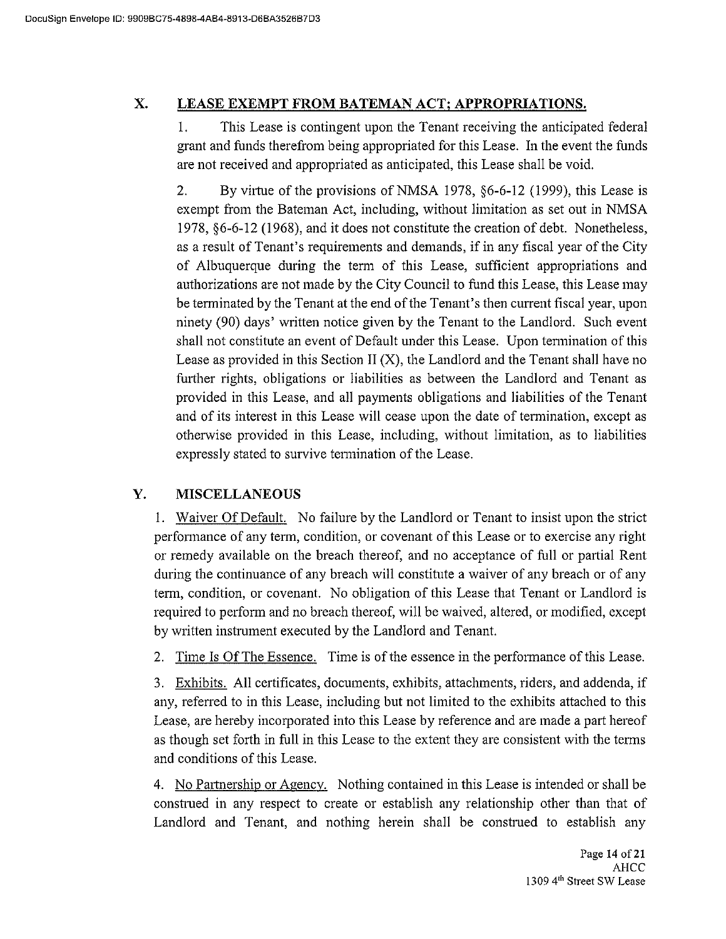#### X. LEASE EXEMPT FROM BATEMAN ACT; APPROPRIATIONS.

This Lease is contingent upon the Tenant receiving the anticipated federal 1. grant and funds therefrom being appropriated for this Lease. In the event the funds are not received and appropriated as anticipated, this Lease shall be void.

By virtue of the provisions of NMSA 1978, §6-6-12 (1999), this Lease is  $2.$ exempt from the Bateman Act, including, without limitation as set out in NMSA 1978, §6-6-12 (1968), and it does not constitute the creation of debt. Nonetheless, as a result of Tenant's requirements and demands, if in any fiscal year of the City of Albuquerque during the term of this Lease, sufficient appropriations and authorizations are not made by the City Council to fund this Lease, this Lease may be terminated by the Tenant at the end of the Tenant's then current fiscal year, upon ninety (90) days' written notice given by the Tenant to the Landlord. Such event shall not constitute an event of Default under this Lease. Upon termination of this Lease as provided in this Section II  $(X)$ , the Landlord and the Tenant shall have no further rights, obligations or liabilities as between the Landlord and Tenant as provided in this Lease, and all payments obligations and liabilities of the Tenant and of its interest in this Lease will cease upon the date of termination, except as otherwise provided in this Lease, including, without limitation, as to liabilities expressly stated to survive termination of the Lease.

#### Y. **MISCELLANEOUS**

1. Waiver Of Default. No failure by the Landlord or Tenant to insist upon the strict performance of any term, condition, or covenant of this Lease or to exercise any right or remedy available on the breach thereof, and no acceptance of full or partial Rent during the continuance of any breach will constitute a waiver of any breach or of any term, condition, or covenant. No obligation of this Lease that Tenant or Landlord is required to perform and no breach thereof, will be waived, altered, or modified, except by written instrument executed by the Landlord and Tenant.

Time Is Of The Essence. Time is of the essence in the performance of this Lease.  $2.$ 

3. Exhibits. All certificates, documents, exhibits, attachments, riders, and addenda, if any, referred to in this Lease, including but not limited to the exhibits attached to this Lease, are hereby incorporated into this Lease by reference and are made a part hereof as though set forth in full in this Lease to the extent they are consistent with the terms and conditions of this Lease.

4. No Partnership or Agency. Nothing contained in this Lease is intended or shall be construed in any respect to create or establish any relationship other than that of Landlord and Tenant, and nothing herein shall be construed to establish any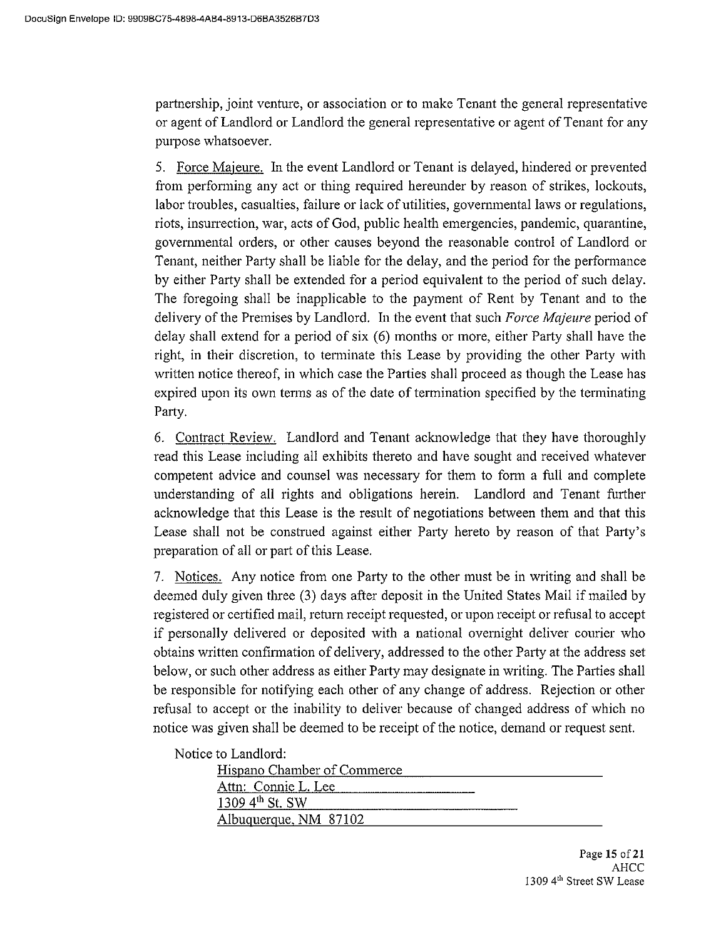partnership, joint venture, or association or to make Tenant the general representative or agent of Landlord or Landlord the general representative or agent of Tenant for any purpose whatsoever.

5. Force Majeure. In the event Landlord or Tenant is delayed, hindered or prevented from performing any act or thing required hereunder by reason of strikes, lockouts, labor troubles, casualties, failure or lack of utilities, governmental laws or regulations, riots, insurrection, war, acts of God, public health emergencies, pandemic, quarantine, governmental orders, or other causes beyond the reasonable control of Landlord or Tenant, neither Party shall be liable for the delay, and the period for the performance by either Party shall be extended for a period equivalent to the period of such delay. The foregoing shall be inapplicable to the payment of Rent by Tenant and to the delivery of the Premises by Landlord. In the event that such Force Majeure period of delay shall extend for a period of six (6) months or more, either Party shall have the right, in their discretion, to terminate this Lease by providing the other Party with written notice thereof, in which case the Parties shall proceed as though the Lease has expired upon its own terms as of the date of termination specified by the terminating Party.

6. Contract Review. Landlord and Tenant acknowledge that they have thoroughly read this Lease including all exhibits thereto and have sought and received whatever competent advice and counsel was necessary for them to form a full and complete understanding of all rights and obligations herein. Landlord and Tenant further acknowledge that this Lease is the result of negotiations between them and that this Lease shall not be construed against either Party hereto by reason of that Party's preparation of all or part of this Lease.

7. Notices. Any notice from one Party to the other must be in writing and shall be deemed duly given three (3) days after deposit in the United States Mail if mailed by registered or certified mail, return receipt requested, or upon receipt or refusal to accept if personally delivered or deposited with a national overnight deliver courier who obtains written confirmation of delivery, addressed to the other Party at the address set below, or such other address as either Party may designate in writing. The Parties shall be responsible for notifying each other of any change of address. Rejection or other refusal to accept or the inability to deliver because of changed address of which no notice was given shall be deemed to be receipt of the notice, demand or request sent.

Notice to Landlord:

| Hispano Chamber of Commerce |  |  |
|-----------------------------|--|--|
| Attn: Connie L. Lee         |  |  |
| 1309 $4^{th}$ St. SW        |  |  |
| Albuquerque, NM 87102       |  |  |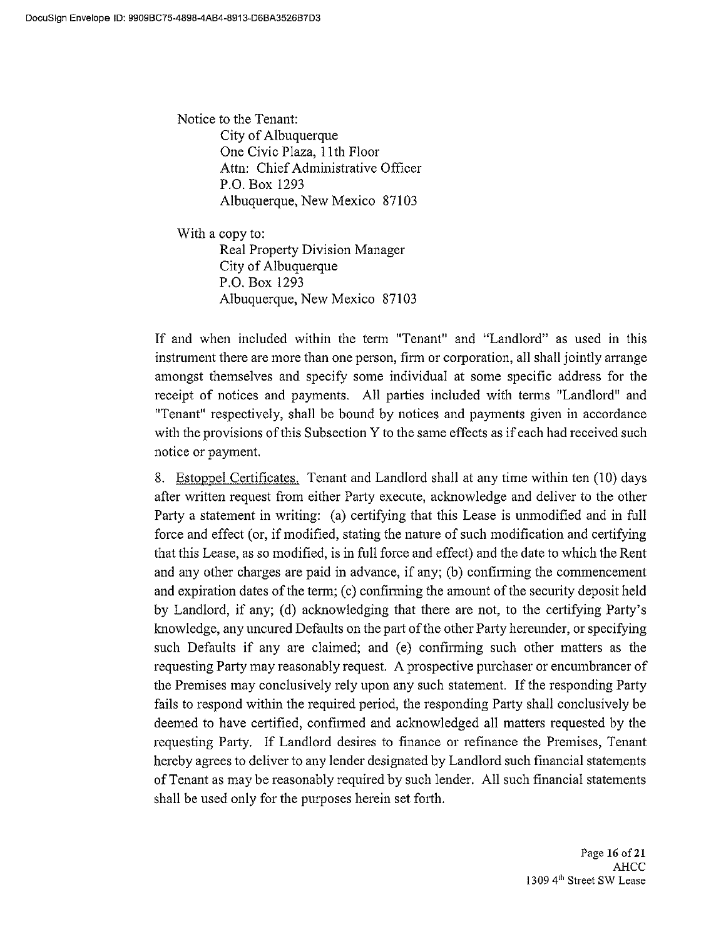Notice to the Tenant: City of Albuquerque One Civic Plaza, 11th Floor Attn: Chief Administrative Officer P.O. Box 1293 Albuquerque, New Mexico 87103

With a copy to: Real Property Division Manager City of Albuquerque P.O. Box 1293 Albuquerque, New Mexico 87103

If and when included within the term "Tenant" and "Landlord" as used in this instrument there are more than one person, firm or corporation, all shall jointly arrange amongst themselves and specify some individual at some specific address for the receipt of notices and payments. All parties included with terms "Landlord" and "Tenant" respectively, shall be bound by notices and payments given in accordance with the provisions of this Subsection Y to the same effects as if each had received such notice or payment.

8. Estoppel Certificates. Tenant and Landlord shall at any time within ten (10) days after written request from either Party execute, acknowledge and deliver to the other Party a statement in writing: (a) certifying that this Lease is unmodified and in full force and effect (or, if modified, stating the nature of such modification and certifying that this Lease, as so modified, is in full force and effect) and the date to which the Rent and any other charges are paid in advance, if any; (b) confirming the commencement and expiration dates of the term; (c) confirming the amount of the security deposit held by Landlord, if any; (d) acknowledging that there are not, to the certifying Party's knowledge, any uncured Defaults on the part of the other Party hereunder, or specifying such Defaults if any are claimed; and (e) confirming such other matters as the requesting Party may reasonably request. A prospective purchaser or encumbrancer of the Premises may conclusively rely upon any such statement. If the responding Party fails to respond within the required period, the responding Party shall conclusively be deemed to have certified, confirmed and acknowledged all matters requested by the requesting Party. If Landlord desires to finance or refinance the Premises, Tenant hereby agrees to deliver to any lender designated by Landlord such financial statements of Tenant as may be reasonably required by such lender. All such financial statements shall be used only for the purposes herein set forth.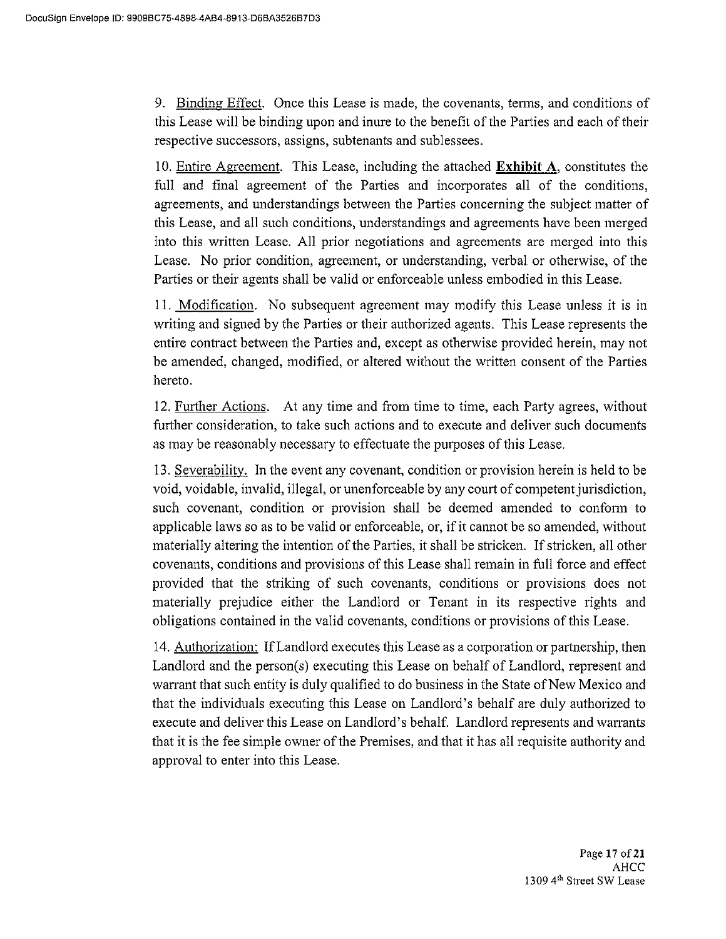9. Binding Effect. Once this Lease is made, the covenants, terms, and conditions of this Lease will be binding upon and inure to the benefit of the Parties and each of their respective successors, assigns, subtenants and sublessees.

10. Entire Agreement. This Lease, including the attached Exhibit A, constitutes the full and final agreement of the Parties and incorporates all of the conditions, agreements, and understandings between the Parties concerning the subject matter of this Lease, and all such conditions, understandings and agreements have been merged into this written Lease. All prior negotiations and agreements are merged into this Lease. No prior condition, agreement, or understanding, verbal or otherwise, of the Parties or their agents shall be valid or enforceable unless embodied in this Lease.

11. Modification. No subsequent agreement may modify this Lease unless it is in writing and signed by the Parties or their authorized agents. This Lease represents the entire contract between the Parties and, except as otherwise provided herein, may not be amended, changed, modified, or altered without the written consent of the Parties hereto.

12. Further Actions. At any time and from time to time, each Party agrees, without further consideration, to take such actions and to execute and deliver such documents as may be reasonably necessary to effectuate the purposes of this Lease.

13. Severability. In the event any covenant, condition or provision herein is held to be void, voidable, invalid, illegal, or unenforceable by any court of competent jurisdiction, such covenant, condition or provision shall be deemed amended to conform to applicable laws so as to be valid or enforceable, or, if it cannot be so amended, without materially altering the intention of the Parties, it shall be stricken. If stricken, all other covenants, conditions and provisions of this Lease shall remain in full force and effect provided that the striking of such covenants, conditions or provisions does not materially prejudice either the Landlord or Tenant in its respective rights and obligations contained in the valid covenants, conditions or provisions of this Lease.

14. Authorization: If Landlord executes this Lease as a corporation or partnership, then Landlord and the person(s) executing this Lease on behalf of Landlord, represent and warrant that such entity is duly qualified to do business in the State of New Mexico and that the individuals executing this Lease on Landlord's behalf are duly authorized to execute and deliver this Lease on Landlord's behalf. Landlord represents and warrants that it is the fee simple owner of the Premises, and that it has all requisite authority and approval to enter into this Lease.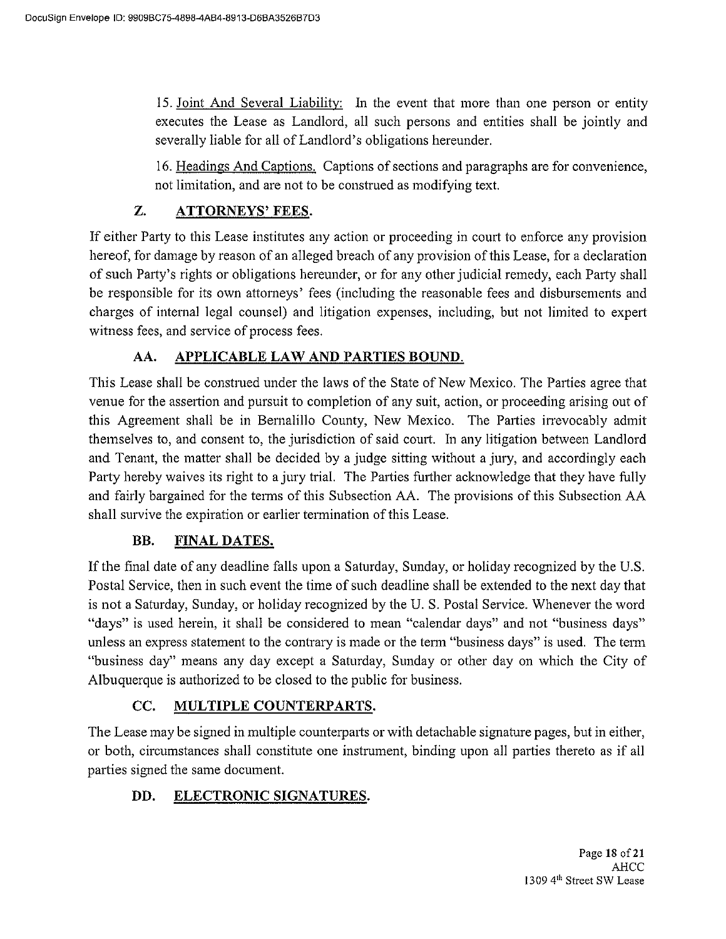15. Joint And Several Liability: In the event that more than one person or entity executes the Lease as Landlord, all such persons and entities shall be jointly and severally liable for all of Landlord's obligations hereunder.

16. Headings And Captions. Captions of sections and paragraphs are for convenience, not limitation, and are not to be construed as modifying text.

#### Z. **ATTORNEYS' FEES.**

If either Party to this Lease institutes any action or proceeding in court to enforce any provision hereof, for damage by reason of an alleged breach of any provision of this Lease, for a declaration of such Party's rights or obligations hereunder, or for any other judicial remedy, each Party shall be responsible for its own attorneys' fees (including the reasonable fees and disbursements and charges of internal legal counsel) and litigation expenses, including, but not limited to expert witness fees, and service of process fees.

#### AA. <u>APPLICABLE LAW AND PARTIES BOUND.</u>

This Lease shall be construed under the laws of the State of New Mexico. The Parties agree that venue for the assertion and pursuit to completion of any suit, action, or proceeding arising out of this Agreement shall be in Bernalillo County, New Mexico. The Parties irrevocably admit themselves to, and consent to, the jurisdiction of said court. In any litigation between Landlord and Tenant, the matter shall be decided by a judge sitting without a jury, and accordingly each Party hereby waives its right to a jury trial. The Parties further acknowledge that they have fully and fairly bargained for the terms of this Subsection AA. The provisions of this Subsection AA shall survive the expiration or earlier termination of this Lease.

#### BB. **FINAL DATES.**

If the final date of any deadline falls upon a Saturday, Sunday, or holiday recognized by the U.S. Postal Service, then in such event the time of such deadline shall be extended to the next day that is not a Saturday, Sunday, or holiday recognized by the U.S. Postal Service. Whenever the word "days" is used herein, it shall be considered to mean "calendar days" and not "business days" unless an express statement to the contrary is made or the term "business days" is used. The term "business day" means any day except a Saturday, Sunday or other day on which the City of Albuquerque is authorized to be closed to the public for business.

#### CC. MULTIPLE COUNTERPARTS.

The Lease may be signed in multiple counterparts or with detachable signature pages, but in either, or both, circumstances shall constitute one instrument, binding upon all parties thereto as if all parties signed the same document.

#### DD. **ELECTRONIC SIGNATURES.**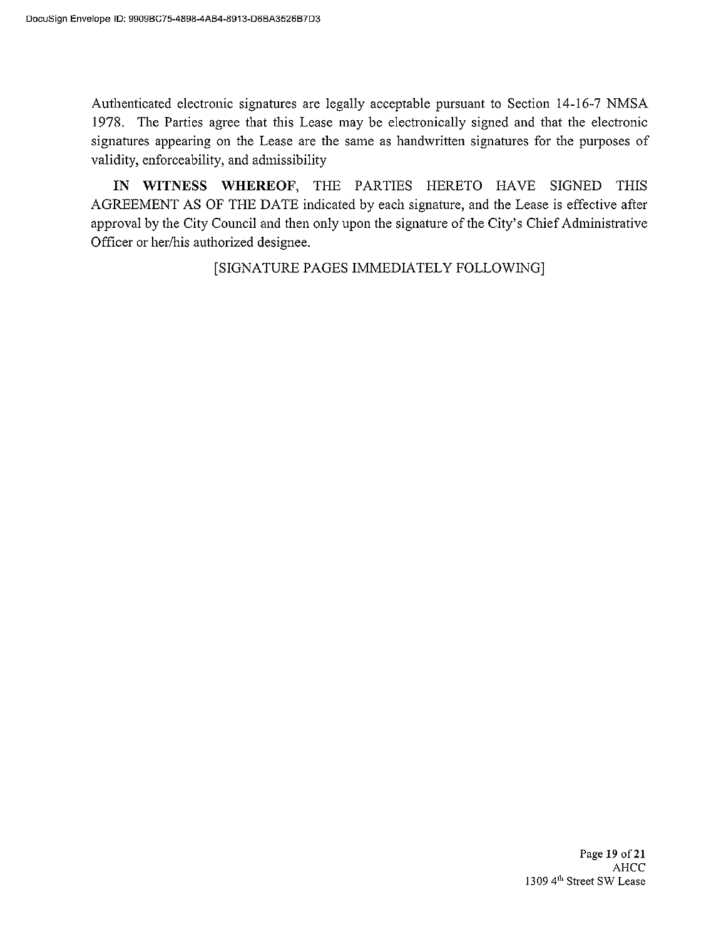Authenticated electronic signatures are legally acceptable pursuant to Section 14-16-7 NMSA 1978. The Parties agree that this Lease may be electronically signed and that the electronic signatures appearing on the Lease are the same as handwritten signatures for the purposes of validity, enforceability, and admissibility

IN WITNESS WHEREOF, THE PARTIES HERETO HAVE SIGNED THIS AGREEMENT AS OF THE DATE indicated by each signature, and the Lease is effective after approval by the City Council and then only upon the signature of the City's Chief Administrative Officer or her/his authorized designee.

[SIGNATURE PAGES IMMEDIATELY FOLLOWING]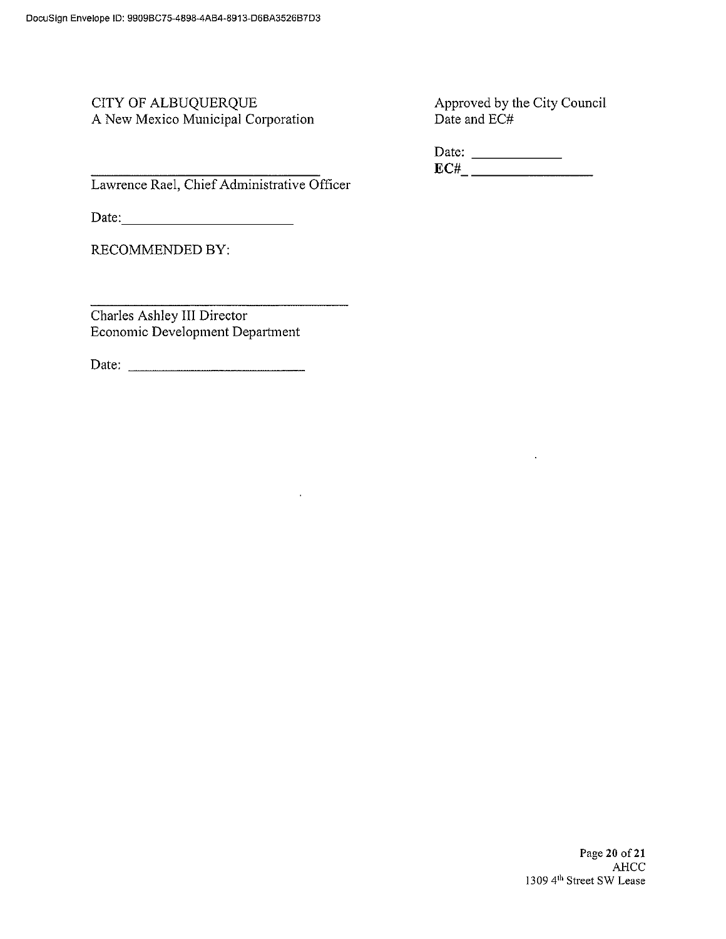### CITY OF ALBUQUERQUE A New Mexico Municipal Corporation

Approved by the City Council Date and  $\tilde{EC#}$ 

Lawrence Rael, Chief Administrative Officer

Date: <u>Date: and the second second</u>

**RECOMMENDED BY:** 

Charles Ashley III Director Economic Development Department

 $\hat{\mathcal{A}}$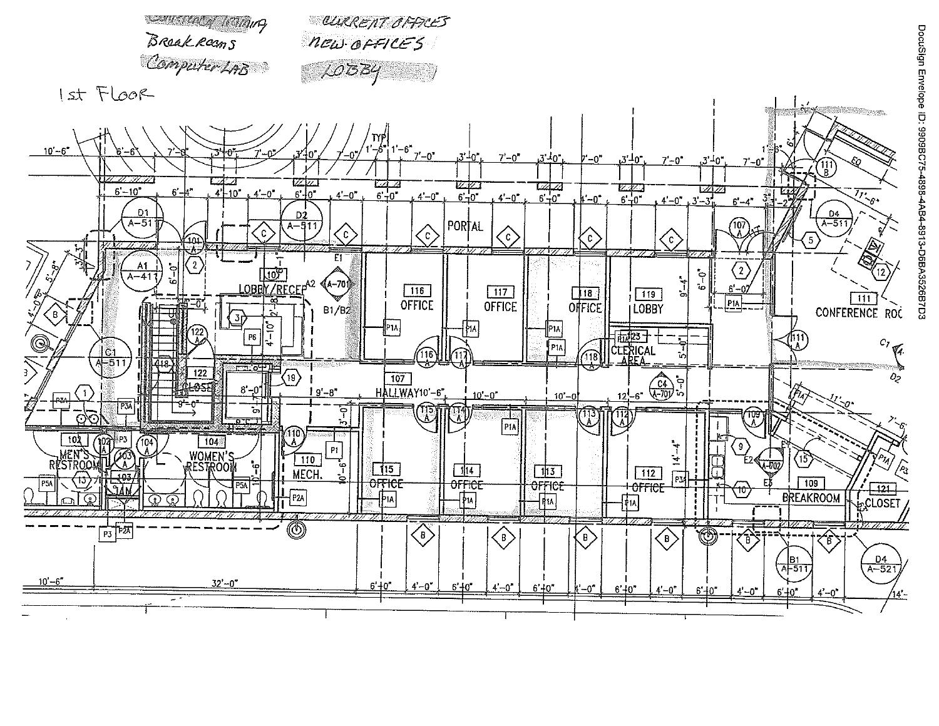

DocuSign Envelope ID: 9909BC75-4898-4AB4-8913-D6BA3526B7D3